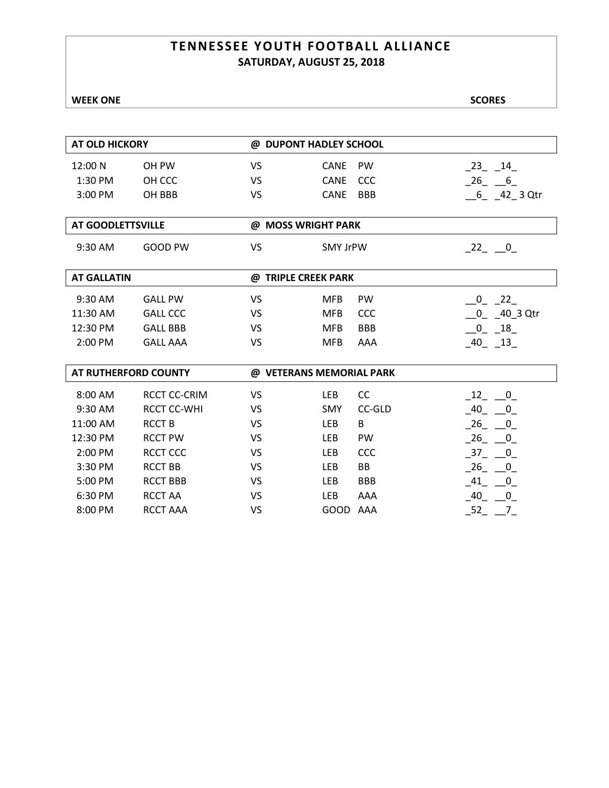### **TENNESSEE YOUTH FOOTBALL ALLIANCE SATURDAY, AUGUST 25, 2018**

| <b>AT OLD HICKORY</b>       |                     | @ DUPONT HADLEY SCHOOL   |                 |            |                                         |  |  |
|-----------------------------|---------------------|--------------------------|-----------------|------------|-----------------------------------------|--|--|
| 12:00 N                     | OH PW               | VS                       | <b>CANE</b>     | PW         | $-23 - 14$                              |  |  |
| 1:30 PM                     | OH CCC              | VS                       | <b>CANE</b>     | CCC        | $26 \quad 6$                            |  |  |
| 3:00 PM                     | OH BBB              | VS                       | <b>CANE</b>     | <b>BBB</b> | $-6 - 42 - 3$ Qtr                       |  |  |
| <b>AT GOODLETTSVILLE</b>    |                     | @ MOSS WRIGHT PARK       |                 |            |                                         |  |  |
| 9:30 AM                     | GOOD PW             | VS                       | <b>SMY JrPW</b> |            | $-22 - 0$                               |  |  |
| <b>AT GALLATIN</b>          |                     | @ TRIPLE CREEK PARK      |                 |            |                                         |  |  |
| 9:30 AM                     | <b>GALL PW</b>      | VS                       | <b>MFB</b>      | PW         | $0$ 22                                  |  |  |
| 11:30 AM                    | <b>GALL CCC</b>     | VS                       | <b>MFB</b>      | CCC        | $0 - 40 - 3$ Qtr                        |  |  |
| 12:30 PM                    | <b>GALL BBB</b>     | VS                       | <b>MFB</b>      | <b>BBB</b> | $0 \quad 18$                            |  |  |
| 2:00 PM                     | <b>GALL AAA</b>     | VS                       | <b>MFB</b>      | AAA        | $-40$ $-13$                             |  |  |
| <b>AT RUTHERFORD COUNTY</b> |                     | @ VETERANS MEMORIAL PARK |                 |            |                                         |  |  |
| 8:00 AM                     | <b>RCCT CC-CRIM</b> | VS                       | <b>LEB</b>      | cc         | $\begin{array}{ccc} 12 & 0 \end{array}$ |  |  |
| 9:30 AM                     | <b>RCCT CC-WHI</b>  | VS                       | <b>SMY</b>      | CC-GLD     | $-40$ $-0$                              |  |  |
| 11:00 AM                    | <b>RCCTB</b>        | <b>VS</b>                | <b>LEB</b>      | B          | $26 \quad 0$                            |  |  |
| 12:30 PM                    | <b>RCCT PW</b>      | VS                       | <b>LEB</b>      | PW         | $26 \qquad 0$                           |  |  |
| 2:00 PM                     | <b>RCCT CCC</b>     | VS                       | <b>LEB</b>      | CCC        | $37 \quad 0$                            |  |  |
| 3:30 PM                     | <b>RCCT BB</b>      | <b>VS</b>                | LEB             | <b>BB</b>  | $-26$ $-0$                              |  |  |
| 5:00 PM                     | <b>RCCT BBB</b>     | VS                       | LEB             | <b>BBB</b> | $41 \quad 0$                            |  |  |
| 6:30 PM                     | <b>RCCT AA</b>      | VS                       | <b>LEB</b>      | AAA        | $40\qquad 0$                            |  |  |
| 8:00 PM                     | <b>RCCT AAA</b>     | VS                       | GOOD AAA        |            | $-52 - 7$                               |  |  |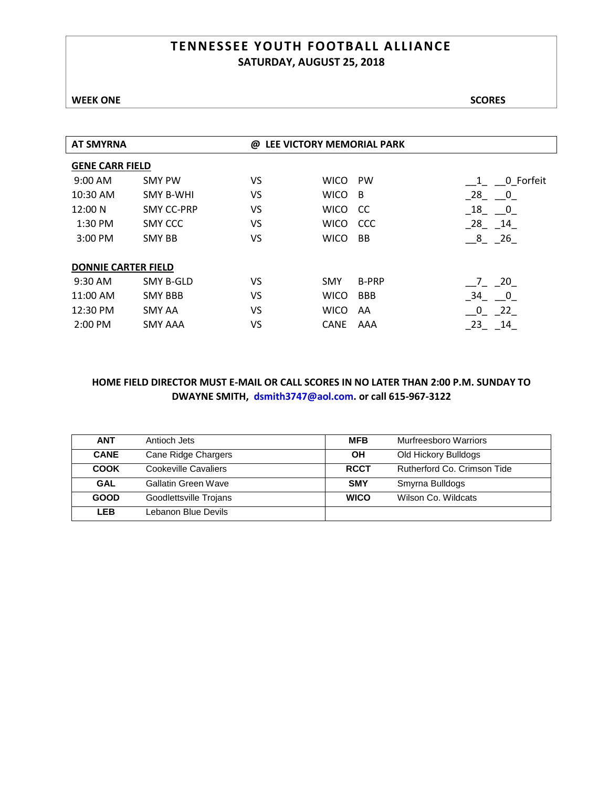### **TENNESSEE YOUTH FOOTBALL ALLIANCE SATURDAY, AUGUST 25, 2018**

### **WEEK ONE** SCORES

|                            | @  |             |              |                                |
|----------------------------|----|-------------|--------------|--------------------------------|
| <b>GENE CARR FIELD</b>     |    |             |              |                                |
| <b>SMY PW</b>              | VS | <b>WICO</b> | <b>PW</b>    | 0 Forfeit<br>$\mathbf{1}$      |
| <b>SMY B-WHI</b>           | VS | <b>WICO</b> | -B           | 28<br>$\overline{\mathbf{0}}$  |
| <b>SMY CC-PRP</b>          | VS | <b>WICO</b> | CC.          | 18<br>$\overline{\mathbf{0}}$  |
| SMY CCC                    | VS | <b>WICO</b> | <b>CCC</b>   | $28 - 14$                      |
| <b>SMY BB</b>              | VS | <b>WICO</b> | <b>BB</b>    | $8 \quad 26$                   |
|                            |    |             |              |                                |
| <b>DONNIE CARTER FIELD</b> |    |             |              |                                |
| <b>SMY B-GLD</b>           | VS | <b>SMY</b>  | <b>B-PRP</b> | 7 20                           |
| <b>SMY BBB</b>             | VS | <b>WICO</b> | <b>BBB</b>   | 34<br>$\overline{\phantom{0}}$ |
| SMY AA                     | VS | <b>WICO</b> | AA           | 22<br>0                        |
| <b>SMY AAA</b>             | VS | <b>CANE</b> | AAA          | 23<br>14                       |
|                            |    |             |              | LEE VICTORY MEMORIAL PARK      |

| <b>ANT</b>  | Antioch Jets           | <b>MFB</b>  | Murfreesboro Warriors       |
|-------------|------------------------|-------------|-----------------------------|
| <b>CANE</b> | Cane Ridge Chargers    | OН          | Old Hickory Bulldogs        |
| <b>COOK</b> | Cookeville Cavaliers   | <b>RCCT</b> | Rutherford Co. Crimson Tide |
| <b>GAL</b>  | Gallatin Green Wave    | <b>SMY</b>  | Smyrna Bulldogs             |
| <b>GOOD</b> | Goodlettsville Trojans | <b>WICO</b> | Wilson Co. Wildcats         |
| LEB         | Lebanon Blue Devils    |             |                             |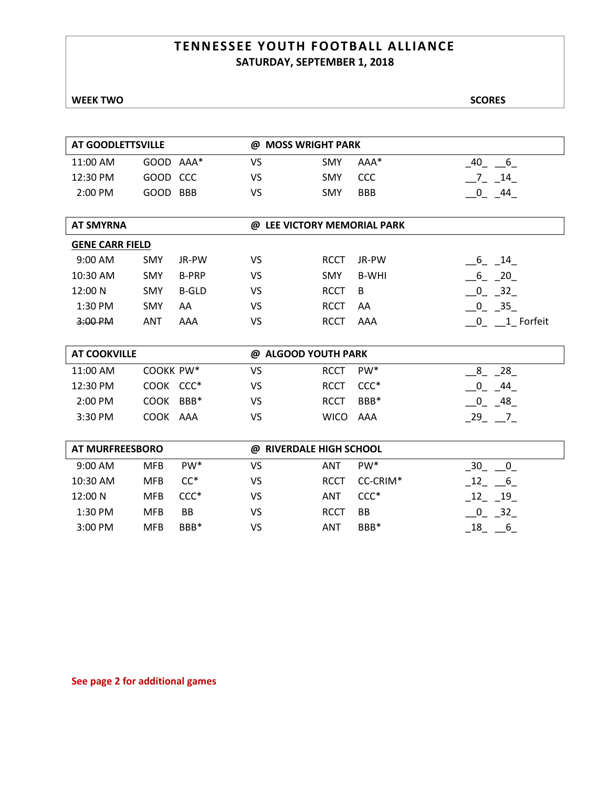### **TENNESSEE YOUTH FOOTBALL ALLIANCE SATURDAY, SEPTEMBER 1, 2018**

| AT GOODLETTSVILLE      |            |                 | @ MOSS WRIGHT PARK          |             |                 |                                               |
|------------------------|------------|-----------------|-----------------------------|-------------|-----------------|-----------------------------------------------|
| 11:00 AM               | GOOD AAA*  |                 | <b>VS</b>                   | SMY         | AAA*            | $-40$ 6                                       |
| 12:30 PM               | GOOD CCC   |                 | VS                          | <b>SMY</b>  | <b>CCC</b>      | $\overline{\phantom{0}}$ 7 14                 |
| 2:00 PM                | GOOD BBB   |                 | <b>VS</b>                   | SMY         | <b>BBB</b>      | $-0$ $-44$                                    |
|                        |            |                 |                             |             |                 |                                               |
| <b>AT SMYRNA</b>       |            |                 | @ LEE VICTORY MEMORIAL PARK |             |                 |                                               |
| <b>GENE CARR FIELD</b> |            |                 |                             |             |                 |                                               |
| 9:00 AM                | <b>SMY</b> | JR-PW           | <b>VS</b>                   | <b>RCCT</b> | JR-PW           | $-6 - 14$                                     |
| 10:30 AM               | SMY        | <b>B-PRP</b>    | <b>VS</b>                   | <b>SMY</b>  | <b>B-WHI</b>    | $-6 - 20$                                     |
| 12:00 N                | SMY        | <b>B-GLD</b>    | VS                          | <b>RCCT</b> | B               | $\begin{array}{cc} 0 & 32 \end{array}$        |
| 1:30 PM                | <b>SMY</b> | AA              | VS                          | <b>RCCT</b> | AA              | $-0$ $-35$                                    |
| 3:00 PM                | <b>ANT</b> | AAA             | <b>VS</b>                   | <b>RCCT</b> | AAA             | $\begin{array}{cc} 0 & 1 \end{array}$ Forfeit |
|                        |            |                 |                             |             |                 |                                               |
| <b>AT COOKVILLE</b>    |            |                 | @ ALGOOD YOUTH PARK         |             |                 |                                               |
| 11:00 AM               | COOKK PW*  |                 | <b>VS</b>                   | <b>RCCT</b> | PW <sup>*</sup> | $-8 - 28$                                     |
| 12:30 PM               | COOK CCC*  |                 | <b>VS</b>                   | <b>RCCT</b> | $CCC*$          | $-0$ $-44$                                    |
| 2:00 PM                | COOK BBB*  |                 | <b>VS</b>                   | <b>RCCT</b> | BBB*            | $-0$ $-48$                                    |
| 3:30 PM                | COOK AAA   |                 | <b>VS</b>                   | <b>WICO</b> | AAA             | $-29$ $-7$                                    |
|                        |            |                 |                             |             |                 |                                               |
| <b>AT MURFREESBORO</b> |            |                 | @ RIVERDALE HIGH SCHOOL     |             |                 |                                               |
| 9:00 AM                | <b>MFB</b> | PW <sup>*</sup> | <b>VS</b>                   | <b>ANT</b>  | PW <sup>*</sup> | $30 \quad 0$                                  |
| 10:30 AM               | <b>MFB</b> | $CC^*$          | <b>VS</b>                   | <b>RCCT</b> | CC-CRIM*        | $-12 - 6$                                     |
| 12:00 N                | <b>MFB</b> | $CCC*$          | VS                          | ANT         | $CCC*$          | $-12 - 19$                                    |
| 1:30 PM                | <b>MFB</b> | BB              | VS                          | <b>RCCT</b> | <b>BB</b>       | $0 \quad 32$                                  |
| 3:00 PM                | <b>MFB</b> | BBB*            | <b>VS</b>                   | <b>ANT</b>  | BBB*            | $18$ 6                                        |

**See page 2 for additional games**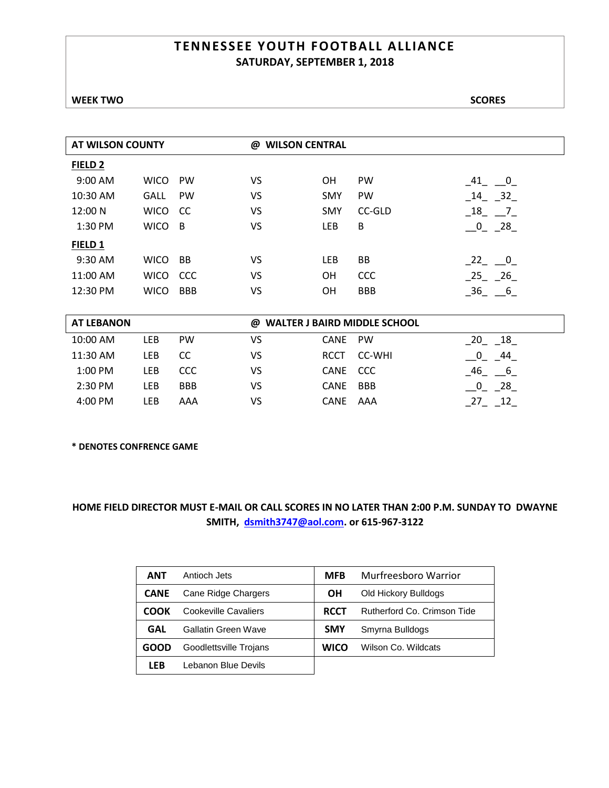### **TENNESSEE YOUTH FOOTBALL ALLIANCE SATURDAY, SEPTEMBER 1, 2018**

| <b>AT WILSON COUNTY</b> |             | <b>WILSON CENTRAL</b><br>@ |    |            |            |                                |
|-------------------------|-------------|----------------------------|----|------------|------------|--------------------------------|
| FIELD <sub>2</sub>      |             |                            |    |            |            |                                |
| 9:00 AM                 | <b>WICO</b> | <b>PW</b>                  | VS | <b>OH</b>  | <b>PW</b>  | 41<br>$\overline{\phantom{0}}$ |
| 10:30 AM                | <b>GALL</b> | <b>PW</b>                  | VS | <b>SMY</b> | <b>PW</b>  | 32<br>14                       |
| 12:00 N                 | <b>WICO</b> | <sub>CC</sub>              | VS | <b>SMY</b> | CC-GLD     | 18<br>$\overline{7}$           |
| $1:30$ PM               | <b>WICO</b> | $\overline{B}$             | VS | LEB        | B          | $0$ 28                         |
| FIELD 1                 |             |                            |    |            |            |                                |
| 9:30 AM                 | <b>WICO</b> | <b>BB</b>                  | VS | LEB        | BB         | $-22$ $-0$                     |
| 11:00 AM                | <b>WICO</b> | <b>CCC</b>                 | VS | <b>OH</b>  | <b>CCC</b> | 25 26                          |
| 12:30 PM                | <b>WICO</b> | <b>BBB</b>                 | VS | <b>OH</b>  | <b>BBB</b> | 36<br>$-6$                     |
|                         |             |                            |    |            |            |                                |

| <b>AT LEBANON</b> |     |            | @ WALTER J BAIRD MIDDLE SCHOOL |          |             |            |  |
|-------------------|-----|------------|--------------------------------|----------|-------------|------------|--|
| 10:00 AM          | LEB | <b>PW</b>  | VS                             | CANE PW  |             | - 18<br>20 |  |
| 11:30 AM          | LEB | CC.        | VS                             |          | RCCT CC-WHI | 44         |  |
| $1:00$ PM         | LEB | <b>CCC</b> | VS                             | CANE CCC |             | 46<br>-6   |  |
| $2:30$ PM         | LEB | <b>BBB</b> | VS                             | CANE BBB |             | 28         |  |
| 4:00 PM           | LEB | AAA        | VS                             | CANE AAA |             |            |  |

**\* DENOTES CONFRENCE GAME**

| <b>ANT</b>  | Antioch Jets               | <b>MFB</b>  | Murfreesboro Warrior        |
|-------------|----------------------------|-------------|-----------------------------|
| <b>CANE</b> | Cane Ridge Chargers        | ΟH          | Old Hickory Bulldogs        |
| соок        | Cookeville Cavaliers       | <b>RCCT</b> | Rutherford Co. Crimson Tide |
| <b>GAL</b>  | <b>Gallatin Green Wave</b> | <b>SMY</b>  | Smyrna Bulldogs             |
| GOOD        | Goodlettsville Trojans     | <b>WICO</b> | Wilson Co. Wildcats         |
| LEB         | Lebanon Blue Devils        |             |                             |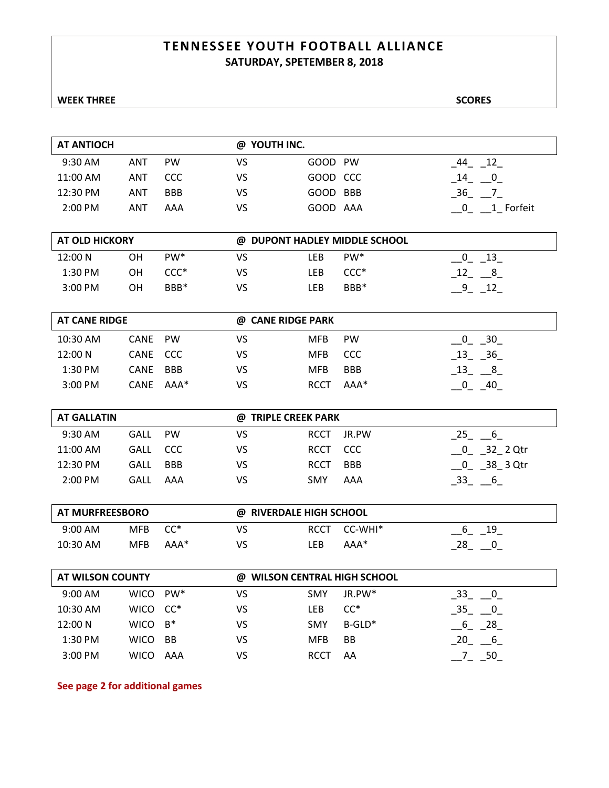### **TENNESSEE YOUTH FOOTBALL ALLIANCE SATURDAY, SPETEMBER 8, 2018**

| AT ANTIOCH |     |            | @ YOUTH INC. |          |                    |
|------------|-----|------------|--------------|----------|--------------------|
| 9:30 AM    | ANT | <b>PW</b>  | VS           | GOOD PW  | 12<br>44           |
| 11:00 AM   | ANT | <b>CCC</b> | VS           | GOOD CCC | 14<br>$\mathbf{0}$ |
| 12:30 PM   | ANT | <b>BBB</b> | VS           | GOOD BBB | 36                 |
| 2:00 PM    | ANT | AAA        | VS           | GOOD AAA | 1 Forfeit          |
|            |     |            |              |          |                    |

| <b>AT OLD HICKORY</b> | @ DUPONT HADLEY MIDDLE SCHOOL |                  |    |     |                  |    |
|-----------------------|-------------------------------|------------------|----|-----|------------------|----|
| 12:00 N               | OН                            | PW <sup>*</sup>  | VS | LEB | PW <sup>*</sup>  | 13 |
| 1:30 PM               | OН                            | $CCC*$           | VS | LEB | $CCC*$           |    |
| $3:00$ PM             | OН                            | BBB <sup>*</sup> | VS | .EB | BBB <sup>*</sup> |    |

| <b>AT CANE RIDGE</b> |          |            | @ CANE RIDGE PARK |             |            |          |  |
|----------------------|----------|------------|-------------------|-------------|------------|----------|--|
| 10:30 AM             | CANE     | <b>PW</b>  | VS                | <b>MFB</b>  | <b>PW</b>  | 30       |  |
| 12:00 N              | CANE CCC |            | VS                | MFB         | CCC.       | 36<br>13 |  |
| 1:30 PM              | CANE     | <b>BBB</b> | VS                | MFB         | <b>BBB</b> | 13<br>8  |  |
| $3:00$ PM            | CANE     | AAA*       | VS                | <b>RCCT</b> | AAA*       | 40       |  |

| <b>AT GALLATIN</b> |             |            | @ TRIPLE CREEK PARK |             |            |          |  |  |
|--------------------|-------------|------------|---------------------|-------------|------------|----------|--|--|
| $9:30$ AM          | <b>GALL</b> | <b>PW</b>  | VS                  | RCCT        | JR.PW      | 25<br>6  |  |  |
| 11:00 AM           | GALL CCC    |            | VS                  | RCCT CCC    |            | 32 2 Qtr |  |  |
| $12:30 \text{ PM}$ | GALL        | <b>BBB</b> | VS                  | <b>RCCT</b> | <b>BBB</b> | 38 3 Qtr |  |  |
| $2:00$ PM          | GALL        | AAA        | VS                  | <b>SMY</b>  | AAA        | 33<br>6  |  |  |

| AT MURFREESBORO |            |        | @ RIVERDALE HIGH SCHOOL |             |         |    |  |
|-----------------|------------|--------|-------------------------|-------------|---------|----|--|
| $9:00$ AM       | MFB        | $CC^*$ | VS                      | <b>RCCT</b> | CC-WHI* | 19 |  |
| 10:30 AM        | <b>MFB</b> | AAA*   | VS                      | .EB         | AAA*    | 28 |  |

| AT WILSON COUNTY |             |                 | <b>WILSON CENTRAL HIGH SCHOOL</b><br>@ |             |                    |         |  |
|------------------|-------------|-----------------|----------------------------------------|-------------|--------------------|---------|--|
| $9:00$ AM        | <b>WICO</b> | PW <sup>*</sup> | VS                                     | <b>SMY</b>  | JR.PW <sup>*</sup> | 33<br>0 |  |
| $10:30$ AM       | <b>WICO</b> | $CC^*$          | VS                                     | <b>LEB</b>  | $CC^*$             | 35<br>0 |  |
| 12:00 N          | <b>WICO</b> | $B^*$           | VS                                     | <b>SMY</b>  | $B-GLD^*$          | 28      |  |
| $1:30$ PM        | <b>WICO</b> | <b>BB</b>       | VS                                     | MFB         | BB                 | 6       |  |
| $3:00$ PM        | <b>WICO</b> | AAA             | VS                                     | <b>RCCT</b> | AA                 | 50.     |  |

**See page 2 for additional games**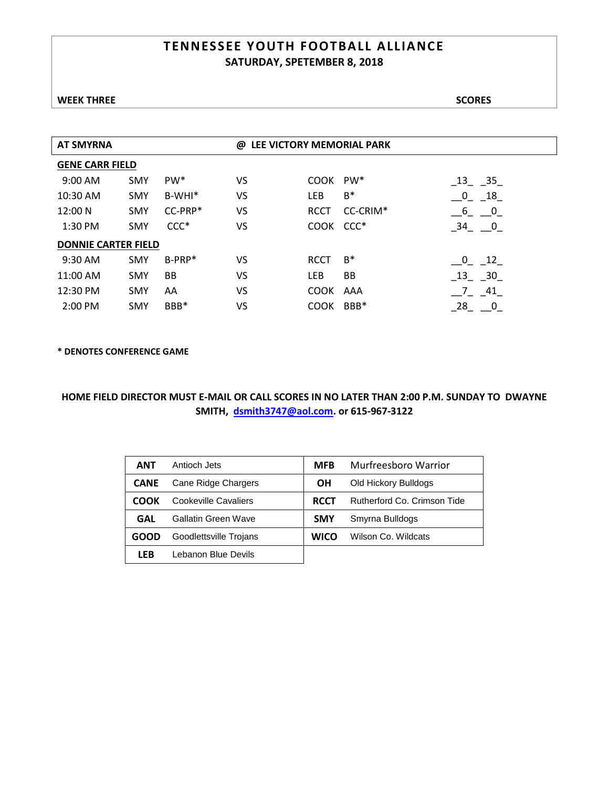### **TENNESSEE YOUTH FOOTBALL ALLIANCE SATURDAY, SPETEMBER 8, 2018**

| <b>AT SMYRNA</b>           |            |                 | LEE VICTORY MEMORIAL PARK<br>@ |             |          |                                         |  |
|----------------------------|------------|-----------------|--------------------------------|-------------|----------|-----------------------------------------|--|
| <b>GENE CARR FIELD</b>     |            |                 |                                |             |          |                                         |  |
| 9:00 AM                    | <b>SMY</b> | PW <sup>*</sup> | VS                             | COOK        | PW*      | $\begin{bmatrix} 13 & 35 \end{bmatrix}$ |  |
| 10:30 AM                   | <b>SMY</b> | $B-WHI*$        | VS                             | LEB         | $B^*$    | $\mathbf 0$<br>18                       |  |
| 12:00 N                    | <b>SMY</b> | $CC-PRP*$       | VS                             | <b>RCCT</b> | CC-CRIM* | $6\quad 0$                              |  |
| 1:30 PM                    | <b>SMY</b> | $CCC*$          | VS                             | COOK CCC*   |          | $34 \quad 0$                            |  |
| <b>DONNIE CARTER FIELD</b> |            |                 |                                |             |          |                                         |  |
| 9:30 AM                    | <b>SMY</b> | $B-PRP^*$       | VS                             | <b>RCCT</b> | $B^*$    | $\sqrt{0}$<br>12                        |  |
| 11:00 AM                   | <b>SMY</b> | <b>BB</b>       | VS                             | LEB         | BB       | 13 30                                   |  |
| 12:30 PM                   | <b>SMY</b> | AA              | VS                             | COOK AAA    |          | 7 41                                    |  |
| 2:00 PM                    | <b>SMY</b> | BBB*            | VS                             | <b>COOK</b> | BBB*     | 28<br>0                                 |  |

**\* DENOTES CONFERENCE GAME**

| ANT         | Antioch Jets           | <b>MFB</b>  | Murfreesboro Warrior        |
|-------------|------------------------|-------------|-----------------------------|
| <b>CANE</b> | Cane Ridge Chargers    | ΟH          | Old Hickory Bulldogs        |
| COOK        | Cookeville Cavaliers   | <b>RCCT</b> | Rutherford Co. Crimson Tide |
| GAL         | Gallatin Green Wave    | <b>SMY</b>  | Smyrna Bulldogs             |
| GOOD        | Goodlettsville Trojans | <b>WICO</b> | Wilson Co. Wildcats         |
| LFB         | Lebanon Blue Devils    |             |                             |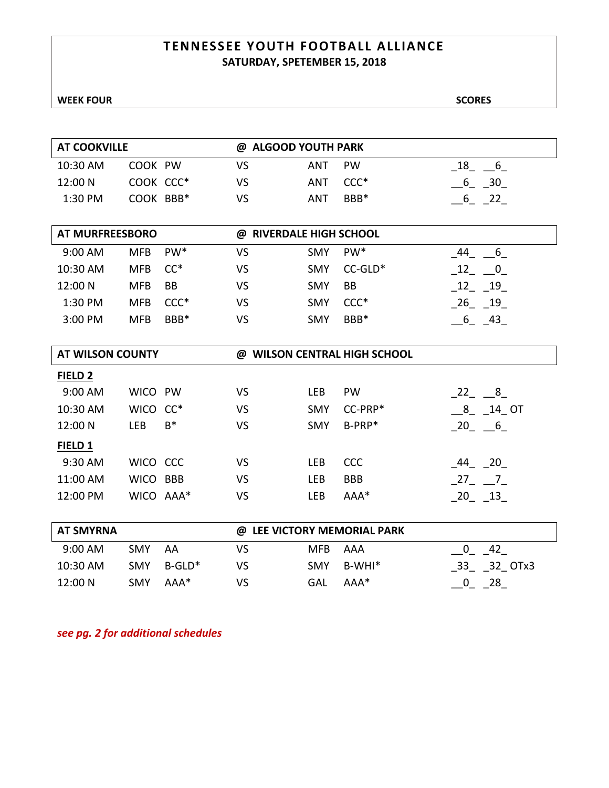### **TENNESSEE YOUTH FOOTBALL ALLIANCE SATURDAY, SPETEMBER 15, 2018**

| <b>AT COOKVILLE</b>     |             |                 | <b>ALGOOD YOUTH PARK</b><br>@     |            |                                   |                               |  |
|-------------------------|-------------|-----------------|-----------------------------------|------------|-----------------------------------|-------------------------------|--|
| 10:30 AM                | COOK PW     |                 | <b>VS</b>                         | ANT        | PW                                | 18<br>$6\overline{6}$         |  |
| 12:00 N                 | COOK CCC*   |                 | VS                                | ANT        | $CCC*$                            | 6 30                          |  |
| 1:30 PM                 | COOK BBB*   |                 | VS                                | ANT        | BBB*                              | $6\qquad 22$                  |  |
|                         |             |                 |                                   |            |                                   |                               |  |
| <b>AT MURFREESBORO</b>  |             |                 | <b>RIVERDALE HIGH SCHOOL</b><br>@ |            |                                   |                               |  |
| 9:00 AM                 | <b>MFB</b>  | PW <sup>*</sup> | VS                                | <b>SMY</b> | PW <sup>*</sup>                   | 44<br>6                       |  |
| 10:30 AM                | <b>MFB</b>  | $CC^*$          | VS                                | <b>SMY</b> | $CC-GLD*$                         | 12<br>$\overline{\mathbf{0}}$ |  |
| 12:00 N                 | <b>MFB</b>  | BB              | <b>VS</b>                         | <b>SMY</b> | BB                                | 12 19                         |  |
| 1:30 PM                 | <b>MFB</b>  | $CCC*$          | VS                                | <b>SMY</b> | $CCC*$                            | $-26 - 19$                    |  |
| 3:00 PM                 | <b>MFB</b>  | BBB*            | VS                                | <b>SMY</b> | BBB*                              | 6 43                          |  |
|                         |             |                 |                                   |            |                                   |                               |  |
| <b>AT WILSON COUNTY</b> |             |                 | @                                 |            | <b>WILSON CENTRAL HIGH SCHOOL</b> |                               |  |
| FIELD <sub>2</sub>      |             |                 |                                   |            |                                   |                               |  |
| 9:00 AM                 | <b>WICO</b> | PW              | VS                                | LEB        | PW                                | 22<br>8                       |  |
| 10:30 AM                | WICO CC*    |                 | VS                                | <b>SMY</b> | CC-PRP*                           | 8<br>14 OT                    |  |

| ----------     | .         |       | . . | -----      | ----       | .                    |
|----------------|-----------|-------|-----|------------|------------|----------------------|
| 12:00 N        | LEB       | $B^*$ | VS  | SMY        | $B-PRP^*$  | 20 6                 |
| <b>FIELD 1</b> |           |       |     |            |            |                      |
| 9:30 AM        | WICO CCC  |       | VS  | <b>LEB</b> | <b>CCC</b> | 20<br>44             |
| 11:00 AM       | WICO BBB  |       | VS  | <b>LEB</b> | <b>BBB</b> | 27<br>$\overline{7}$ |
| 12:00 PM       | WICO AAA* |       | VS  | <b>LEB</b> | $AAA*$     | 13<br>20             |
|                |           |       |     |            |            |                      |

| AT SMYRNA |            |        | @ LEE VICTORY MEMORIAL PARK |      |        |               |  |
|-----------|------------|--------|-----------------------------|------|--------|---------------|--|
| 9:00 AM   | SMY        | AA     | vs                          | MFB. | AAA    | -42           |  |
| 10:30 AM  | <b>SMY</b> | B-GLD* | VS.                         | SMY  | B-WHI* | 32 OTx3<br>33 |  |
| 12:00 N   | SMY        | AAA*   | VS                          | GAL  | $AAA*$ | 28            |  |

*see pg. 2 for additional schedules*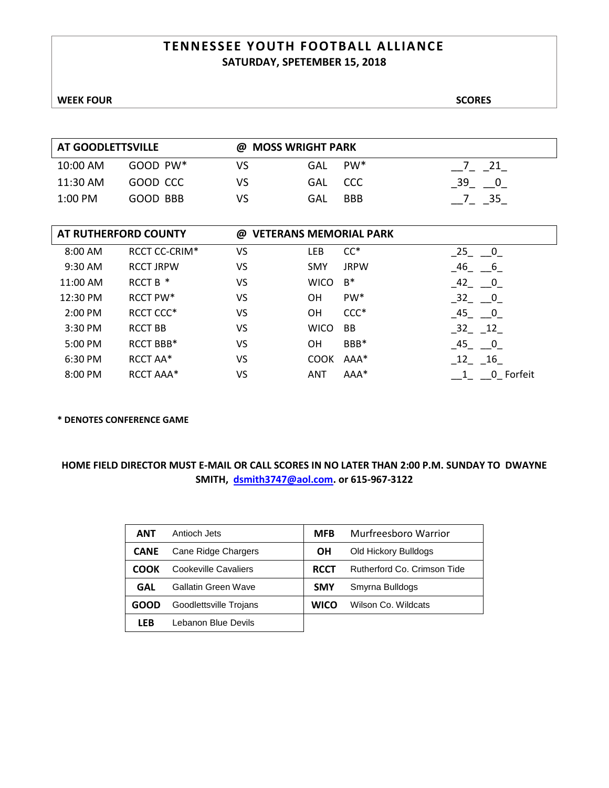### **TENNESSEE YOUTH FOOTBALL ALLIANCE SATURDAY, SPETEMBER 15, 2018**

| <b>AT GOODLETTSVILLE</b> |               |    | @ MOSS WRIGHT PARK |            |    |  |  |
|--------------------------|---------------|----|--------------------|------------|----|--|--|
| 10:00 AM                 | $GOOD$ PW $*$ | VS | GAL                | $PW^*$     | 21 |  |  |
| 11:30 AM                 | GOOD CCC      | VS | GAL.               | . CCC      | 39 |  |  |
| $1:00$ PM                | GOOD BBB      | VS | GAL                | <b>BBB</b> | 35 |  |  |

|          | AT RUTHERFORD COUNTY | @  | <b>VETERANS MEMORIAL PARK</b> |             |                                  |
|----------|----------------------|----|-------------------------------|-------------|----------------------------------|
| 8:00 AM  | RCCT CC-CRIM*        | VS | LEB                           | $CC^*$      | 25<br>$\overline{0}$             |
| 9:30 AM  | <b>RCCT JRPW</b>     | VS | <b>SMY</b>                    | <b>JRPW</b> | 46<br>6                          |
| 11:00 AM | RCCT B *             | VS | <b>WICO</b>                   | $B^*$       | $-42 - 0$                        |
| 12:30 PM | RCCT PW*             | VS | OΗ                            | PW*         | $-32 - 0$                        |
| 2:00 PM  | RCCT CCC*            | VS | OН                            | $CCC*$      | 45<br>$\overline{\phantom{0}}$ 0 |
| 3:30 PM  | <b>RCCT BB</b>       | VS | <b>WICO</b>                   | <b>BB</b>   | $32 - 12$                        |
| 5:00 PM  | RCCT BBB*            | VS | OН                            | BBB*        | 45<br>$\overline{\phantom{0}}$ 0 |
| 6:30 PM  | RCCT AA*             | VS | <b>COOK</b>                   | AAA*        | 12<br>16                         |
| 8:00 PM  | RCCT AAA*            | VS | ANT                           | AAA*        | 0 Forfeit                        |

### **\* DENOTES CONFERENCE GAME**

| ANT         | Antioch Jets           | <b>MFB</b>  | Murfreesboro Warrior        |
|-------------|------------------------|-------------|-----------------------------|
| <b>CANE</b> | Cane Ridge Chargers    | OН          | Old Hickory Bulldogs        |
| COOK        | Cookeville Cavaliers   | <b>RCCT</b> | Rutherford Co. Crimson Tide |
| GAL         | Gallatin Green Wave    | <b>SMY</b>  | Smyrna Bulldogs             |
| GOOD        | Goodlettsville Trojans | WICO        | Wilson Co. Wildcats         |
| <b>LFB</b>  | Lebanon Blue Devils    |             |                             |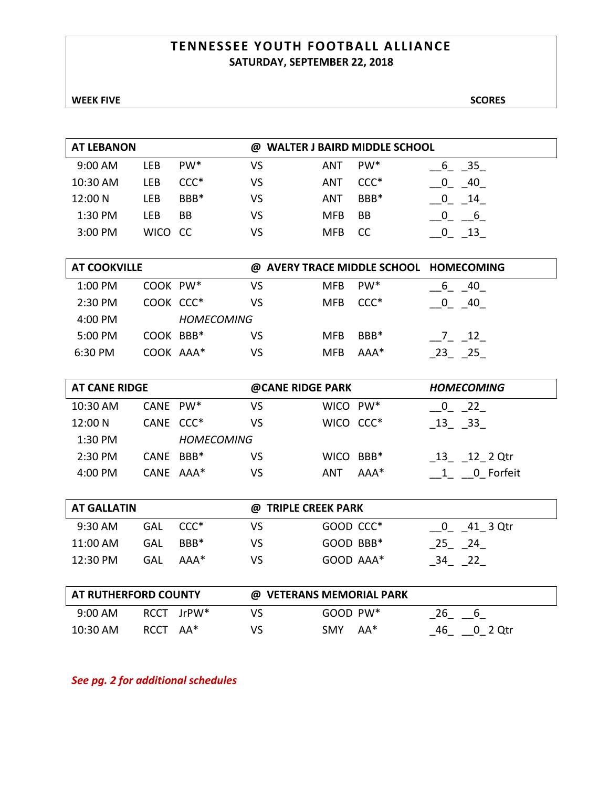### **TENNESSEE YOUTH FOOTBALL ALLIANCE SATURDAY, SEPTEMBER 22, 2018**

### **WEEK FIVE** SCORES

| <b>AT LEBANON</b> |             |                 | <b>WALTER J BAIRD MIDDLE SCHOOL</b><br>@ |            |                 |           |  |
|-------------------|-------------|-----------------|------------------------------------------|------------|-----------------|-----------|--|
| 9:00 AM           | LEB         | PW <sup>*</sup> | ٧S                                       | ANT        | PW <sup>*</sup> | - 35<br>b |  |
| 10:30 AM          | LEB         | $CCC*$          | ٧S                                       | ANT        | $CCC*$          | 40        |  |
| 12:00 N           | LEB         | BBB*            | VS                                       | ANT        | BBB*            | 14        |  |
| 1:30 PM           | LEB         | BB              | VS                                       | <b>MFB</b> | BB              |           |  |
| 3:00 PM           | <b>WICO</b> | - CC            | VS                                       | <b>MFB</b> | CC              |           |  |

| <b>AT COOKVILLE</b> |           |                   |    |            |                  | @ AVERY TRACE MIDDLE SCHOOL HOMECOMING |
|---------------------|-----------|-------------------|----|------------|------------------|----------------------------------------|
| $1:00$ PM           | COOK PW*  |                   | VS | <b>MFB</b> | PW <sup>*</sup>  | 40                                     |
| 2:30 PM             | COOK CCC* |                   | VS | MFB.       | $CCC*$           | 40                                     |
| 4:00 PM             |           | <b>HOMFCOMING</b> |    |            |                  |                                        |
| 5:00 PM             | COOK BBB* |                   | VS | <b>MFB</b> | BBB <sup>*</sup> | $\overline{12}$                        |
| 6:30 PM             | COOK AAA* |                   | VS | <b>MFB</b> | $AA*$            | 25                                     |

| <b>AT CANE RIDGE</b> |                       | @CANE RIDGE PARK  |    |           | <b>HOMECOMING</b> |                 |
|----------------------|-----------------------|-------------------|----|-----------|-------------------|-----------------|
| 10:30 AM             | CANE PW*              |                   | VS | WICO PW*  |                   | 22<br>$\Box$ 0  |
| 12:00 N              | CANE CCC <sup>*</sup> |                   | VS | WICO CCC* |                   | 33<br>-13       |
| 1:30 PM              |                       | <b>HOMECOMING</b> |    |           |                   |                 |
| 2:30 PM              | CANE BBB*             |                   | VS | WICO BBB* |                   | 12 2 Qtr<br>-13 |
| 4:00 PM              | $CANF$ $AAA*$         |                   | VS | ANT       | $AAA*$            | 0 Forfeit       |

| <b>AT GALLATIN</b> |     |                  |     | @ TRIPLE CREEK PARK |          |  |  |  |
|--------------------|-----|------------------|-----|---------------------|----------|--|--|--|
| $9:30$ AM          | GAL | CCC*             | VS  | GOOD CCC*           | 41 3 Qtr |  |  |  |
| 11:00 AM           | GAL | BBB <sup>*</sup> | VS. | GOOD BBB*           | 25 24    |  |  |  |
| 12:30 PM           | GAL | $AAA*$           | VS  | GOOD AAA*           | 22<br>34 |  |  |  |

| <b>AT RUTHERFORD COUNTY</b> |            | @ VETERANS MEMORIAL PARK |               |     |    |         |
|-----------------------------|------------|--------------------------|---------------|-----|----|---------|
| $9:00$ AM                   | RCCT JrPW* | VS                       | $GOOD$ PW $*$ |     | 26 |         |
| $10:30$ AM                  | RCCT AA*   | VS                       | <b>SMY</b>    | AA* | 46 | 0 2 Otr |

*See pg. 2 for additional schedules*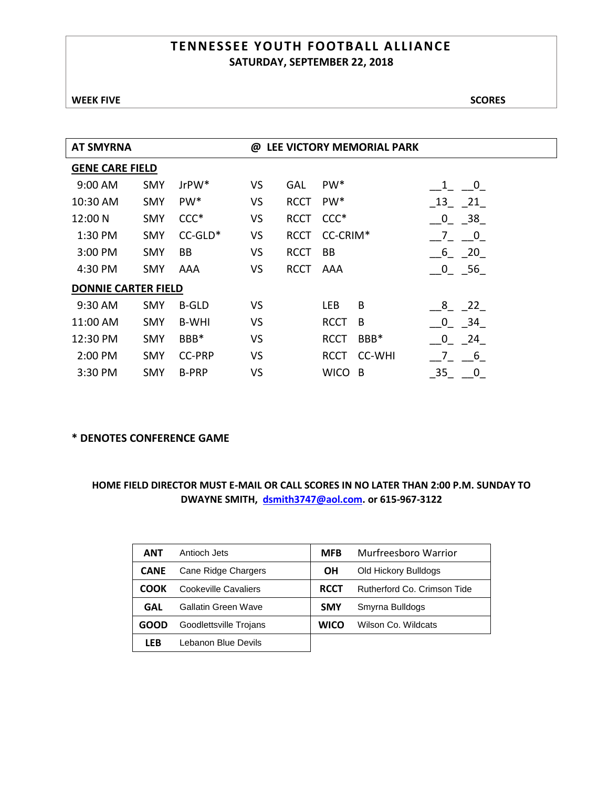### **TENNESSEE YOUTH FOOTBALL ALLIANCE SATURDAY, SEPTEMBER 22, 2018**

| <b>AT SMYRNA</b>           |            |                 | @         |             |                 | LEE VICTORY MEMORIAL PARK |                               |
|----------------------------|------------|-----------------|-----------|-------------|-----------------|---------------------------|-------------------------------|
| <b>GENE CARE FIELD</b>     |            |                 |           |             |                 |                           |                               |
| 9:00 AM                    | <b>SMY</b> | $Jr$ PW $*$     | VS        | <b>GAL</b>  | PW <sup>*</sup> |                           | $\overline{\mathbf{0}}$       |
| 10:30 AM                   | <b>SMY</b> | PW <sup>*</sup> | VS        | <b>RCCT</b> | PW <sup>*</sup> |                           | 13 21                         |
| 12:00 N                    | <b>SMY</b> | $CCC*$          | VS        | <b>RCCT</b> | $CCC*$          |                           | - 38<br>$\mathbf 0$           |
| 1:30 PM                    | <b>SMY</b> | $CC-GLD*$       | VS        | <b>RCCT</b> | CC-CRIM*        |                           | 7<br>$\overline{0}$           |
| 3:00 PM                    | <b>SMY</b> | BB              | VS        | <b>RCCT</b> | BB              |                           | 20<br>6                       |
| 4:30 PM                    | <b>SMY</b> | AAA             | VS        | <b>RCCT</b> | AAA             |                           | 56<br>$\overline{\mathbf{0}}$ |
| <b>DONNIE CARTER FIELD</b> |            |                 |           |             |                 |                           |                               |
| 9:30 AM                    | <b>SMY</b> | <b>B-GLD</b>    | <b>VS</b> |             | <b>LEB</b>      | B                         | 8<br>22                       |
| 11:00 AM                   | <b>SMY</b> | B-WHI           | VS        |             | <b>RCCT</b>     | B                         | 34<br>0                       |
| 12:30 PM                   | <b>SMY</b> | BBB*            | VS        |             | <b>RCCT</b>     | BBB*                      | $\mathbf 0$<br>24             |
| 2:00 PM                    | <b>SMY</b> | <b>CC-PRP</b>   | VS        |             | RCCT            | <b>CC-WHI</b>             | $6^{\circ}$                   |
| 3:30 PM                    | <b>SMY</b> | <b>B-PRP</b>    | <b>VS</b> |             | <b>WICO</b>     | B                         | 35<br>0                       |

### **\* DENOTES CONFERENCE GAME**

| ANT         | Antioch Jets               | <b>MFB</b>  | Murfreesboro Warrior        |
|-------------|----------------------------|-------------|-----------------------------|
| <b>CANE</b> | Cane Ridge Chargers        | ΟH          | Old Hickory Bulldogs        |
| соок        | Cookeville Cavaliers       | <b>RCCT</b> | Rutherford Co. Crimson Tide |
| GAL         | <b>Gallatin Green Wave</b> | <b>SMY</b>  | Smyrna Bulldogs             |
| GOOD        | Goodlettsville Trojans     | <b>WICO</b> | Wilson Co. Wildcats         |
| LFB         | Lebanon Blue Devils        |             |                             |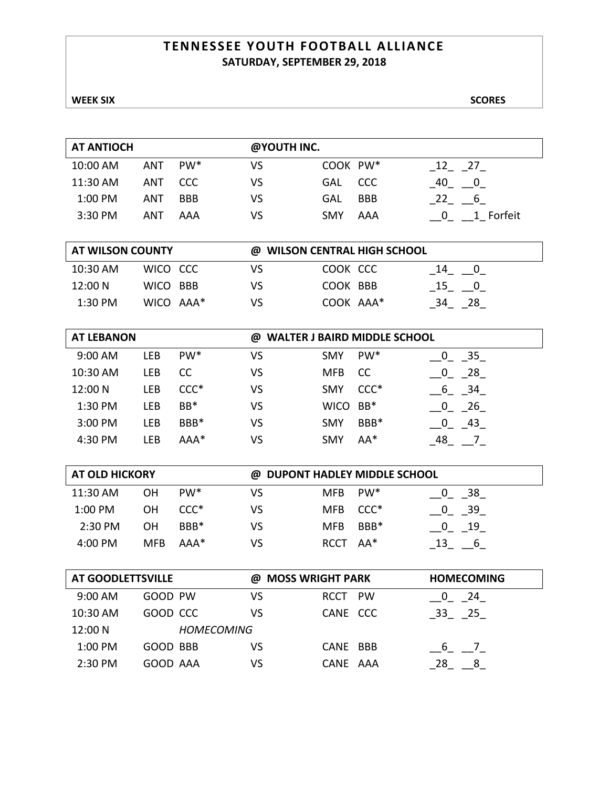### **TENNESSEE YOUTH FOOTBALL ALLIANCE SATURDAY, SEPTEMBER 29, 2018**

### **WEEK SIX** SCORES

| <b>AT ANTIOCH</b> |     |                 | @YOUTH INC. |            |            |                      |
|-------------------|-----|-----------------|-------------|------------|------------|----------------------|
| 10:00 AM          | ANT | PW <sup>*</sup> | VS          | COOK PW*   |            | 27<br>12             |
| 11:30 AM          | ANT | CCC.            | VS          | <b>GAL</b> | <b>CCC</b> | 40<br>0              |
| 1:00 PM           | ANT | <b>BBB</b>      | VS          | <b>GAL</b> | <b>BBB</b> | 6 <sup>6</sup><br>22 |
| 3:30 PM           | ANT | AAA             | VS          | <b>SMY</b> | AAA        | 1 Forfeit            |
|                   |     |                 |             |            |            |                      |

| AT WILSON COUNTY |           |    | @ WILSON CENTRAL HIGH SCHOOL |                    |
|------------------|-----------|----|------------------------------|--------------------|
| 10:30 AM         | WICO CCC  | VS | COOK CCC                     | 14                 |
| 12:00 N          | WICO BBB  | VS | COOK BBB                     | 15<br>$\mathbf{0}$ |
| $1:30$ PM        | WICO AAA* | VS | COOK AAA*                    | - 28               |

| <b>AT LEBANON</b> |     |                 | <b>WALTER J BAIRD MIDDLE SCHOOL</b><br>@ |             |                 |         |
|-------------------|-----|-----------------|------------------------------------------|-------------|-----------------|---------|
| 9:00 AM           | LEB | PW <sup>*</sup> | VS                                       | <b>SMY</b>  | PW <sup>*</sup> | 35      |
| 10:30 AM          | LEB | CC              | VS                                       | <b>MFB</b>  | <b>CC</b>       | 28      |
| 12:00 N           | LEB | $CCC*$          | VS                                       | <b>SMY</b>  | $CCC*$          | 34<br>b |
| 1:30 PM           | LEB | $BB*$           | ٧S                                       | <b>WICO</b> | $BB*$           | 26      |
| 3:00 PM           | LEB | BBB*            | VS                                       | <b>SMY</b>  | BBB*            | 43      |
| 4:30 PM           | LEB | $AAA*$          | VS                                       | <b>SMY</b>  | AA*             | 48      |

| <b>AT OLD HICKORY</b> |            |                 |    | @ DUPONT HADLEY MIDDLE SCHOOL |      |    |
|-----------------------|------------|-----------------|----|-------------------------------|------|----|
| 11:30 AM              | OΗ         | PW <sup>*</sup> | VS | MFB.                          | PW*  | 38 |
| $1:00$ PM             | OΗ         | $CCC*$          | VS | MFB CCC <sup>*</sup>          |      | 39 |
| 2:30 PM               | OΗ         | $BBB*$          | VS | MFB.                          | BBB* | 19 |
| $4:00 \text{ PM}$     | <b>MFB</b> | $AA*$           | VS | RCCT AA*                      |      |    |

| AT GOODLETTSVILLE |          |                   | @ MOSS WRIGHT PARK | <b>HOMECOMING</b> |
|-------------------|----------|-------------------|--------------------|-------------------|
| $9:00$ AM         | GOOD PW  | VS                | RCCT PW            | 24                |
| 10:30 AM          | GOOD CCC | VS                | CANE CCC           | - 33<br>- 25      |
| 12:00 N           |          | <b>HOMECOMING</b> |                    |                   |
| 1:00 PM           | GOOD BBB | VS                | CANE BBB           |                   |
| 2:30 PM           | GOOD AAA | VS                | CANE AAA           | 28                |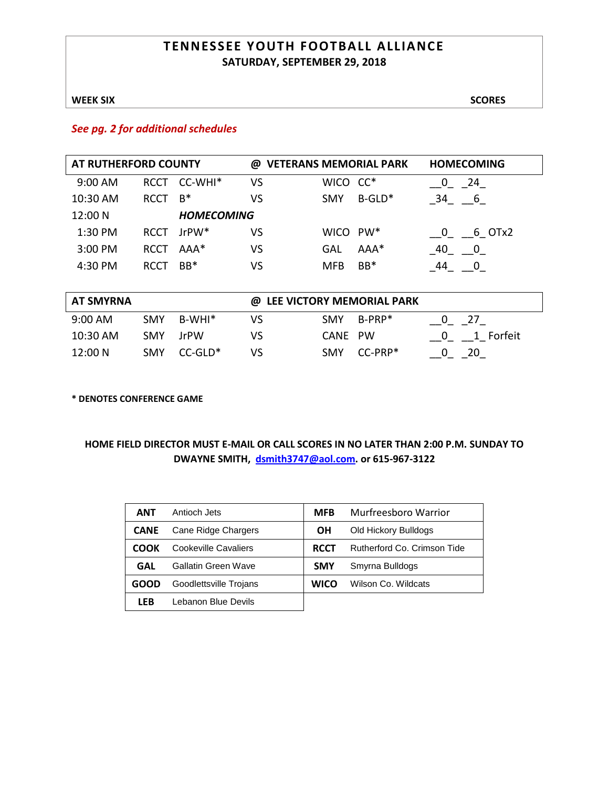### **TENNESSEE YOUTH FOOTBALL ALLIANCE SATURDAY, SEPTEMBER 29, 2018**

### **WEEK SIX** SCORES

### *See pg. 2 for additional schedules*

| AT RUTHERFORD COUNTY |             |                   | @  |                      | <b>VETERANS MEMORIAL PARK</b> | <b>HOMECOMING</b>             |
|----------------------|-------------|-------------------|----|----------------------|-------------------------------|-------------------------------|
| $9:00$ AM            | <b>RCCT</b> | CC-WHI*           | VS | WICO CC*             |                               | 0<br>24                       |
| 10:30 AM             | <b>RCCT</b> | $B^*$             | VS | <b>SMY</b>           | $B-GLD^*$                     | 34 6                          |
| 12:00 N              |             | <b>HOMECOMING</b> |    |                      |                               |                               |
| 1:30 PM              | <b>RCCT</b> | $Jr$ PW $*$       | VS | WICO PW <sup>*</sup> |                               | 6 OTx2<br>$\overline{0}$      |
| 3:00 PM              | <b>RCCT</b> | AAA*              | VS | <b>GAL</b>           | AAA*                          | 40<br>$\overline{\mathbf{0}}$ |
| 4:30 PM              | <b>RCCT</b> | $BB*$             | VS | <b>MFB</b>           | $BB*$                         | 44<br>$\mathbf{0}$            |
|                      |             |                   |    |                      |                               |                               |
| <b>AT SMYRNA</b>     |             |                   | @  |                      | LEE VICTORY MEMORIAL PARK     |                               |
| $9:00$ AM            | <b>SMY</b>  | $B-WHI*$          | VS | <b>SMY</b>           | $B-PRP^*$                     | 27<br>0                       |
| 10:30 AM             | <b>SMY</b>  | <b>JrPW</b>       | VS | <b>CANE</b>          | <b>PW</b>                     | 1 Forfeit<br>$\bf{0}$         |
| 12:00 N              | <b>SMY</b>  | $CC-GLD*$         | VS | <b>SMY</b>           | $CC-PRP*$                     | 20<br>0                       |

**\* DENOTES CONFERENCE GAME**

| ANT         | Antioch Jets           | <b>MFB</b>  | Murfreesboro Warrior        |
|-------------|------------------------|-------------|-----------------------------|
| <b>CANE</b> | Cane Ridge Chargers    | <b>OH</b>   | Old Hickory Bulldogs        |
| соок        | Cookeville Cavaliers   | <b>RCCT</b> | Rutherford Co. Crimson Tide |
| GAL         | Gallatin Green Wave    | <b>SMY</b>  | Smyrna Bulldogs             |
| GOOD        | Goodlettsville Trojans | <b>WICO</b> | Wilson Co. Wildcats         |
| <b>LEB</b>  | Lebanon Blue Devils    |             |                             |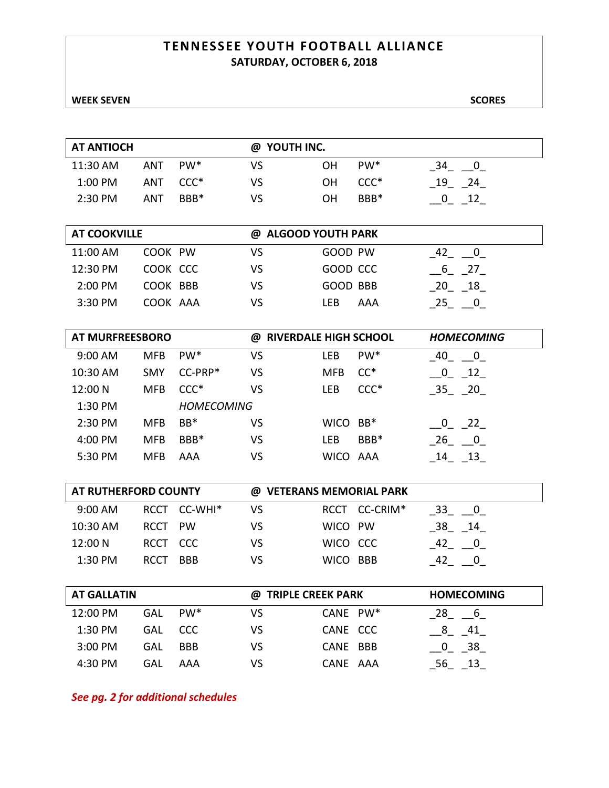### **TENNESSEE YOUTH FOOTBALL ALLIANCE SATURDAY, OCTOBER 6, 2018**

### **WEEK SEVEN** SCORES

| <b>AT ANTIOCH</b>      |             |                   | @ YOUTH INC.             |            |                 |                   |
|------------------------|-------------|-------------------|--------------------------|------------|-----------------|-------------------|
| 11:30 AM               | <b>ANT</b>  | PW <sup>*</sup>   | <b>VS</b>                | 0H         | PW <sup>*</sup> | 34 0              |
| 1:00 PM                | <b>ANT</b>  | $CCC*$            | <b>VS</b>                | OH         | $CCC*$          | 19 24             |
| 2:30 PM                | <b>ANT</b>  | BBB*              | VS                       | <b>OH</b>  | BBB*            | $0$ 12            |
|                        |             |                   |                          |            |                 |                   |
| <b>AT COOKVILLE</b>    |             |                   | @ ALGOOD YOUTH PARK      |            |                 |                   |
| 11:00 AM               | COOK PW     |                   | <b>VS</b>                | GOOD PW    |                 | 42 0              |
| 12:30 PM               | COOK CCC    |                   | <b>VS</b>                | GOOD CCC   |                 | 6 27              |
| 2:00 PM                | COOK BBB    |                   | <b>VS</b>                | GOOD BBB   |                 | 20 18             |
| 3:30 PM                | COOK AAA    |                   | <b>VS</b>                | LEB        | AAA             | $-25 - 0$         |
|                        |             |                   |                          |            |                 |                   |
| <b>AT MURFREESBORO</b> |             |                   | @ RIVERDALE HIGH SCHOOL  |            |                 | <b>HOMECOMING</b> |
| 9:00 AM                | <b>MFB</b>  | PW <sup>*</sup>   | <b>VS</b>                | <b>LEB</b> | PW <sup>*</sup> | 40 0              |
| 10:30 AM               | <b>SMY</b>  | CC-PRP*           | <b>VS</b>                | <b>MFB</b> | $CC^*$          | $\frac{0}{12}$    |
| 12:00 N                | <b>MFB</b>  | $CCC*$            | <b>VS</b>                | <b>LEB</b> | $CCC*$          | 35 20             |
| 1:30 PM                |             | <b>HOMECOMING</b> |                          |            |                 |                   |
| 2:30 PM                | <b>MFB</b>  | BB*               | <b>VS</b>                | WICO BB*   |                 | $-0$ $-22$        |
| 4:00 PM                | <b>MFB</b>  | BBB*              | VS                       | LEB        | BBB*            | $26 - 0$          |
| 5:30 PM                | <b>MFB</b>  | <b>AAA</b>        | VS                       | WICO AAA   |                 | $-14$ $-13$       |
|                        |             |                   |                          |            |                 |                   |
| AT RUTHERFORD COUNTY   |             |                   | @ VETERANS MEMORIAL PARK |            |                 |                   |
| 9:00 AM                | RCCT        | CC-WHI*           | <b>VS</b>                |            | RCCT CC-CRIM*   | 33 0              |
| 10:30 AM               | <b>RCCT</b> | PW                | <b>VS</b>                | WICO PW    |                 | 38 14             |
| 12:00 N                | RCCT        | CCC               | VS                       | WICO CCC   |                 | $42 - 0$          |

| <b>AT GALLATIN</b> |            |                 |    | @ TRIPLE CREEK PARK | <b>HOMECOMING</b> |  |
|--------------------|------------|-----------------|----|---------------------|-------------------|--|
| 12:00 PM           | <b>GAL</b> | PW <sup>*</sup> | VS | CANE PW*            | 28<br>_ ხ         |  |
| $1:30$ PM          | GAL        | CCC.            | VS | CANE CCC            | 41                |  |
| $3:00$ PM          | GAL        | <b>BBB</b>      | VS | CANE BBB            | 38                |  |
| 4:30 PM            | GAL        | AAA             | VS | CANE AAA            |                   |  |

1:30 PM RCCT BBB VS WICO BBB  $42 \quad 0 -$ 

*See pg. 2 for additional schedules*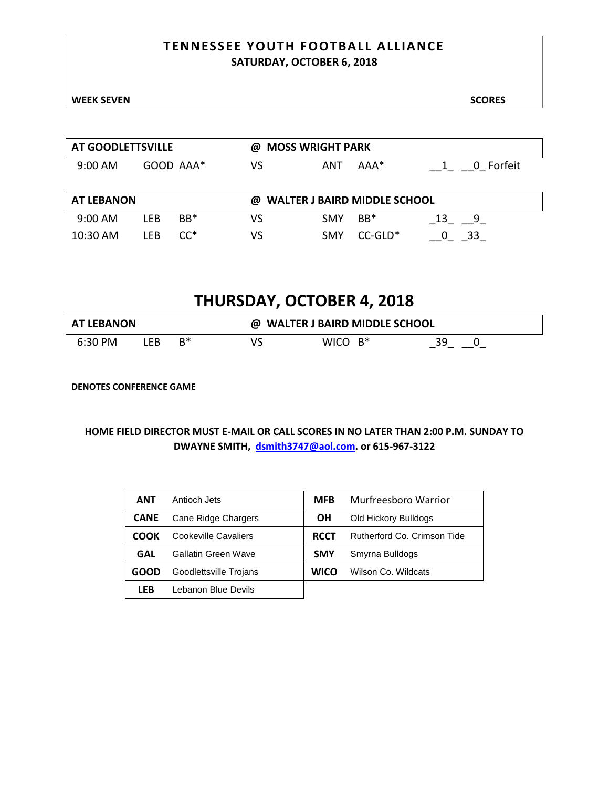### **TENNESSEE YOUTH FOOTBALL ALLIANCE SATURDAY, OCTOBER 6, 2018**

| AT GOODLETTSVILLE                                   |     |           | ω  | <b>MOSS WRIGHT PARK</b> |       |           |
|-----------------------------------------------------|-----|-----------|----|-------------------------|-------|-----------|
| $9:00$ AM                                           |     | GOOD AAA* | VS | ANT                     | $AA*$ | 0 Forfeit |
|                                                     |     |           |    |                         |       |           |
| <b>AT LEBANON</b><br>@ WALTER J BAIRD MIDDLE SCHOOL |     |           |    |                         |       |           |
|                                                     |     |           |    |                         |       |           |
| $9:00$ AM                                           | LFB | $BB*$     | VS | <b>SMY</b>              | $BB*$ | q         |

# **THURSDAY, OCTOBER 4, 2018**

| <b>AT LEBANON</b> |    |    | <b>WALTER J BAIRD MIDDLE SCHOOL</b> |            |    |  |  |
|-------------------|----|----|-------------------------------------|------------|----|--|--|
| 6:30 PM           | FB | B* |                                     | WICO $B^*$ | 39 |  |  |

**DENOTES CONFERENCE GAME**

| <b>ANT</b>  | Antioch Jets           | <b>MFB</b>  | Murfreesboro Warrior        |
|-------------|------------------------|-------------|-----------------------------|
| <b>CANE</b> | Cane Ridge Chargers    | OН          | Old Hickory Bulldogs        |
| COOK        | Cookeville Cavaliers   | <b>RCCT</b> | Rutherford Co. Crimson Tide |
| GAL         | Gallatin Green Wave    | <b>SMY</b>  | Smyrna Bulldogs             |
| GOOD        | Goodlettsville Trojans | <b>WICO</b> | Wilson Co. Wildcats         |
| <b>LEB</b>  | Lebanon Blue Devils    |             |                             |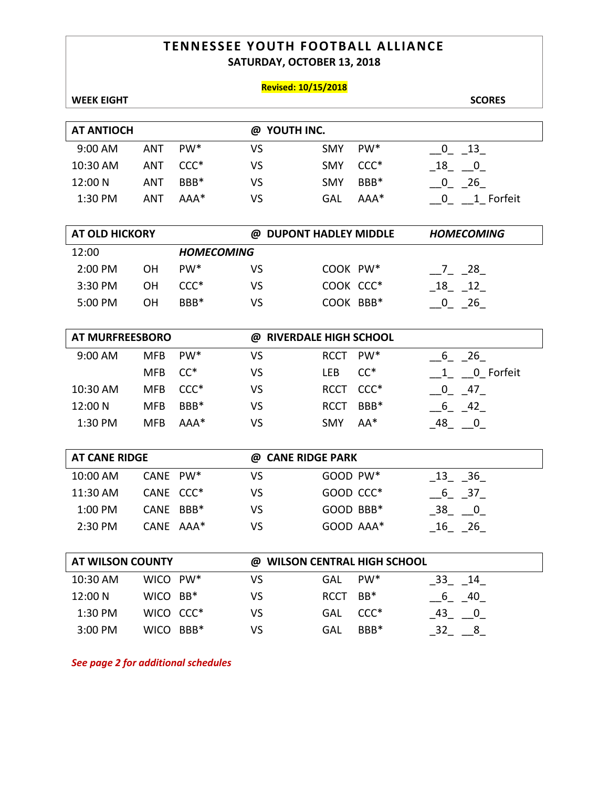### **TENNESSEE YOUTH FOOTBALL ALLIANCE SATURDAY, OCTOBER 13, 2018**

### **Revised: 10/15/2018**

| <b>WEEK EIGHT</b>       |            |                   |                         |             |                              | <b>SCORES</b>                                                             |
|-------------------------|------------|-------------------|-------------------------|-------------|------------------------------|---------------------------------------------------------------------------|
|                         |            |                   |                         |             |                              |                                                                           |
| <b>AT ANTIOCH</b>       |            |                   | @ YOUTH INC.            |             |                              |                                                                           |
| 9:00 AM                 | <b>ANT</b> | PW <sup>*</sup>   | <b>VS</b>               | SMY         | PW*                          | $\begin{bmatrix} 0 & 13 \end{bmatrix}$                                    |
| 10:30 AM                | <b>ANT</b> | $CCC*$            | <b>VS</b>               | <b>SMY</b>  | $CCC*$                       | $-18$ $-0$                                                                |
| 12:00 N                 | <b>ANT</b> | BBB*              | <b>VS</b>               | <b>SMY</b>  | BBB*                         | $-0$ $-26$                                                                |
| 1:30 PM                 | <b>ANT</b> | AAA*              | VS                      | <b>GAL</b>  | AAA*                         | $\begin{array}{c} 0 \end{array}$ $\begin{array}{c} 1 \end{array}$ Forfeit |
|                         |            |                   |                         |             |                              |                                                                           |
| <b>AT OLD HICKORY</b>   |            |                   | @ DUPONT HADLEY MIDDLE  |             |                              | <b>HOMECOMING</b>                                                         |
| 12:00                   |            | <b>HOMECOMING</b> |                         |             |                              |                                                                           |
| 2:00 PM                 | <b>OH</b>  | PW*               | <b>VS</b>               | COOK PW*    |                              | $28$ <sub>-</sub>                                                         |
| 3:30 PM                 | <b>OH</b>  | $CCC*$            | <b>VS</b>               | COOK CCC*   |                              | $-18$ $-12$                                                               |
| 5:00 PM                 | OH         | BBB*              | VS                      | COOK BBB*   |                              | $\frac{0}{2}$ $\frac{26}{1}$                                              |
|                         |            |                   |                         |             |                              |                                                                           |
| AT MURFREESBORO         |            |                   | @ RIVERDALE HIGH SCHOOL |             |                              |                                                                           |
| 9:00 AM                 | <b>MFB</b> | PW <sup>*</sup>   | VS                      | <b>RCCT</b> | PW <sup>*</sup>              | $-6 - 26$                                                                 |
|                         | <b>MFB</b> | $CC^*$            | <b>VS</b>               | LEB         | $CC^*$                       | $1 0$ Forfeit                                                             |
| 10:30 AM                | <b>MFB</b> | $CCC*$            | <b>VS</b>               | RCCT CCC*   |                              | $-0$ $-47$                                                                |
| 12:00 N                 | <b>MFB</b> | BBB*              | <b>VS</b>               | <b>RCCT</b> | BBB*                         | $-6 - 42$                                                                 |
| 1:30 PM                 | <b>MFB</b> | AAA*              | VS                      | <b>SMY</b>  | AA*                          | $-48$ $-0$                                                                |
|                         |            |                   |                         |             |                              |                                                                           |
| <b>AT CANE RIDGE</b>    |            |                   | @ CANE RIDGE PARK       |             |                              |                                                                           |
| 10:00 AM                | CANE PW*   |                   | VS                      | GOOD PW*    |                              | $\_13$ $\_36$                                                             |
| 11:30 AM                | CANE CCC*  |                   | VS                      | GOOD CCC*   |                              | $-6 - 37$                                                                 |
| 1:00 PM                 | CANE BBB*  |                   | <b>VS</b>               | GOOD BBB*   |                              | $-38$ $-0$                                                                |
| 2:30 PM                 | CANE AAA*  |                   | VS                      | GOOD AAA*   |                              | $\_16$ $\_26$                                                             |
|                         |            |                   |                         |             |                              |                                                                           |
| <b>AT WILSON COUNTY</b> |            |                   |                         |             | @ WILSON CENTRAL HIGH SCHOOL |                                                                           |
| 10:30 AM                | WICO PW*   |                   | VS                      | <b>GAL</b>  | $PW^*$                       | $-33 - 14$                                                                |
| 12:00 N                 | WICO BB*   |                   | VS                      | <b>RCCT</b> | $BB*$                        | 6 40                                                                      |
| 1:30 PM                 | WICO CCC*  |                   | <b>VS</b>               | <b>GAL</b>  | $CCC*$                       | $-43$ $-0$                                                                |
| 3:00 PM                 | WICO BBB*  |                   | VS                      | <b>GAL</b>  | BBB*                         | $-32 - 8$                                                                 |

*See page 2 for additional schedules*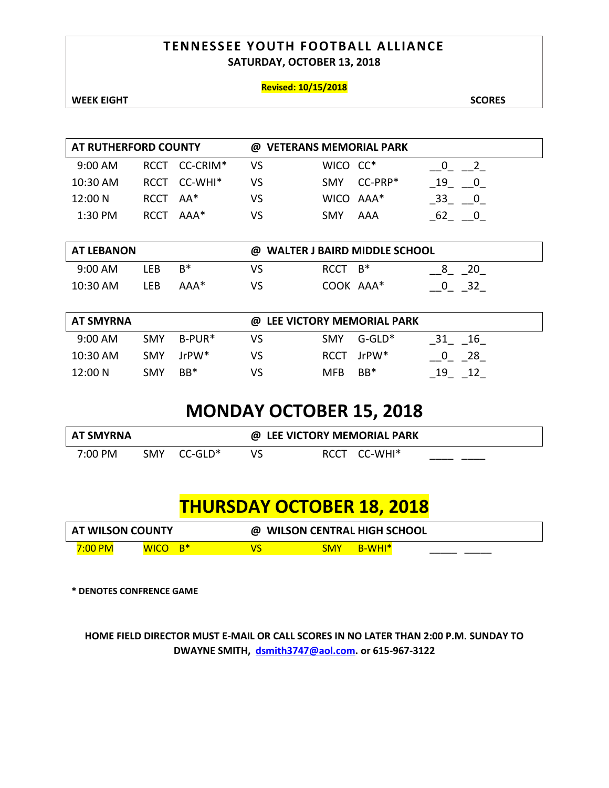### **TENNESSEE YOUTH FOOTBALL ALLIANCE SATURDAY, OCTOBER 13, 2018**

### **Revised: 10/15/2018**

**WEEK EIGHT SCORES** 

| AT RUTHERFORD COUNTY |  |                                                                    | @ VETERANS MEMORIAL PARK |     |                                      |  |
|----------------------|--|--------------------------------------------------------------------|--------------------------|-----|--------------------------------------|--|
|                      |  | VS                                                                 |                          |     |                                      |  |
|                      |  | vs                                                                 |                          |     | 19                                   |  |
|                      |  | VS                                                                 |                          |     | 33                                   |  |
|                      |  | VS                                                                 | <b>SMY</b>               | AAA |                                      |  |
|                      |  | RCCT CC-CRIM*<br>RCCT CC-WHI <sup>*</sup><br>$RCCTA*$<br>RCCT AAA* |                          |     | WICO CC*<br>SMY CC-PRP*<br>WICO AAA* |  |

| <b>AT LEBANON</b>                           |      |      | @ WALTER J BAIRD MIDDLE SCHOOL |                 |  |  |  |
|---------------------------------------------|------|------|--------------------------------|-----------------|--|--|--|
| $9:00$ AM                                   | TFB. | $R*$ | VS                             | $RCCT \quad B*$ |  |  |  |
| COOK AAA*<br>10:30 AM<br>VS<br>LFB.<br>AAA* |      |      |                                |                 |  |  |  |

| <b>AT SMYRNA</b> |            |                       | @ LEE VICTORY MEMORIAL PARK |      |               |    |  |
|------------------|------------|-----------------------|-----------------------------|------|---------------|----|--|
| $9:00$ AM        | <b>SMY</b> | B-PUR*                | VS                          | SMY  | $G$ -GLD $^*$ | 16 |  |
| $10:30$ AM       |            | SMY JrPW <sup>*</sup> | VS                          |      | RCCT JrPW*    | 28 |  |
| 12:00 N          | <b>SMY</b> | $BB*$                 | vs                          | MFB. | BB*           | 19 |  |

# **MONDAY OCTOBER 15, 2018**

| <b>AT SMYRNA</b> |            | @ LEE VICTORY MEMORIAL PARK |    |  |              |  |
|------------------|------------|-----------------------------|----|--|--------------|--|
| 7:00 PM          | <b>SMY</b> | $CC$ -GLD $^{\ast}$         | VS |  | RCCT CC-WHI* |  |

# **THURSDAY OCTOBER 18, 2018**

| <b>AT WILSON COUNTY</b> |                     | @ WILSON CENTRAL HIGH SCHOOL |                    |  |
|-------------------------|---------------------|------------------------------|--------------------|--|
| <u>7:00 PM</u>          | 'B*<br><u>WICO.</u> | <b>SMY</b>                   | B-WHI <sup>*</sup> |  |

**\* DENOTES CONFRENCE GAME**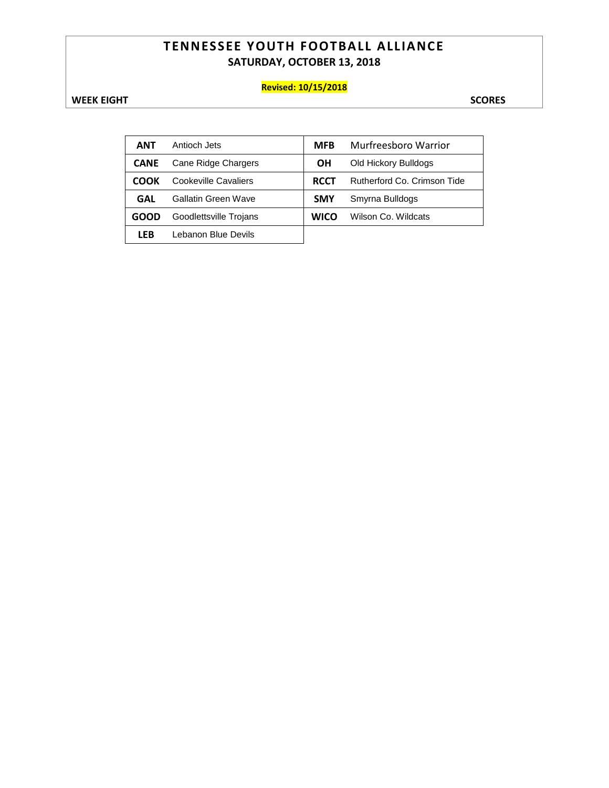### **TENNESSEE YOUTH FOOTBALL ALLIANCE SATURDAY, OCTOBER 13, 2018**

### **Revised: 10/15/2018**

**WEEK EIGHT** SCORES

| <b>ANT</b>  | Antioch Jets           | <b>MFB</b>  | Murfreesboro Warrior        |
|-------------|------------------------|-------------|-----------------------------|
| <b>CANE</b> | Cane Ridge Chargers    | OН          | Old Hickory Bulldogs        |
| <b>COOK</b> | Cookeville Cavaliers   | <b>RCCT</b> | Rutherford Co. Crimson Tide |
| GAL         | Gallatin Green Wave    | <b>SMY</b>  | Smyrna Bulldogs             |
| GOOD        | Goodlettsville Trojans | <b>WICO</b> | Wilson Co. Wildcats         |
| <b>LFB</b>  | Lebanon Blue Devils    |             |                             |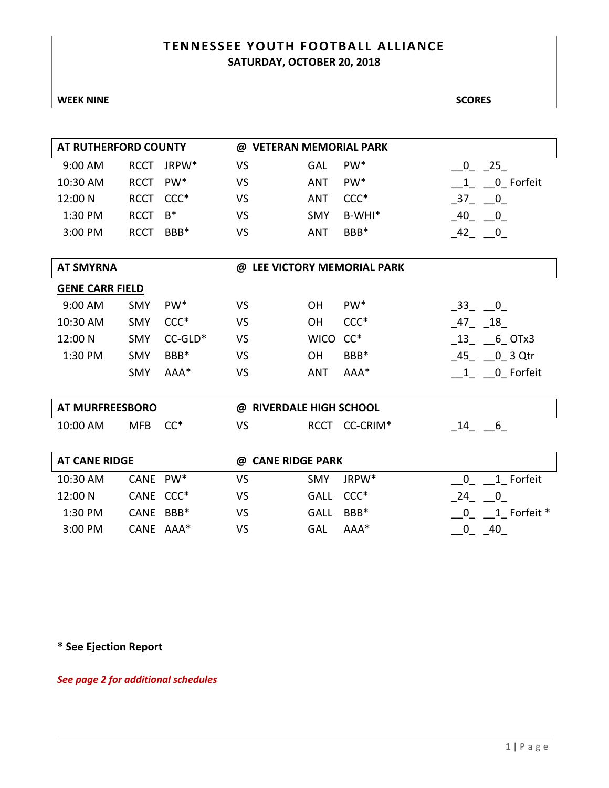### **TENNESSEE YOUTH FOOTBALL ALLIANCE SATURDAY, OCTOBER 20, 2018**

**WEEK NINE** SCORES

| AT RUTHERFORD COUNTY |             |                   | @ VETERAN MEMORIAL PARK |            |                 |              |  |
|----------------------|-------------|-------------------|-------------------------|------------|-----------------|--------------|--|
| 9:00 AM              | <b>RCCT</b> | JRPW <sup>*</sup> | VS                      | GAL        | PW <sup>*</sup> | 25           |  |
| 10:30 AM             | <b>RCCT</b> | PW*               | VS                      | ANT        | $PW^*$          | Forfeit<br>0 |  |
| 12:00 N              | <b>RCCT</b> | $CCC*$            | VS                      | ANT        | $CCC*$          | 0<br>37      |  |
| 1:30 PM              | <b>RCCT</b> | $B^*$             | VS                      | <b>SMY</b> | $B-WHI*$        | 40           |  |
| 3:00 PM              | RCCT        | BBB <sup>*</sup>  | VS                      | ANT        | BBB*            |              |  |
|                      |             |                   |                         |            |                 |              |  |

| AI JIII INIA |  |  |
|--------------|--|--|
|              |  |  |

### **AT SMYRNA @ LEE VICTORY MEMORIAL PARK**

| <b>GENE CARR FIELD</b> |            |                 |    |            |                 |                               |
|------------------------|------------|-----------------|----|------------|-----------------|-------------------------------|
| 9:00 AM                | <b>SMY</b> | PW <sup>*</sup> | VS | OΗ         | PW <sup>*</sup> | 33<br>$\overline{\mathbf{0}}$ |
| 10:30 AM               | <b>SMY</b> | $CCC*$          | VS | OΗ         | $CCC*$          | 18<br>47                      |
| 12:00 N                | <b>SMY</b> | $CC-GLD^*$      | VS | WICO CC*   |                 | 6 OTx3<br>-13                 |
| 1:30 PM                | <b>SMY</b> | BBB*            | VS | OΗ         | BBB*            | 0 3 Qtr<br>45                 |
|                        | <b>SMY</b> | $AAA*$          | VS | <b>ANT</b> | $AAA*$          | 0 Forfeit                     |

| <b>AT MURFREESBORO</b> |            | @ | $^{\circ}$ RIVERDALE HIGH SCHOOL |             |                      |  |  |
|------------------------|------------|---|----------------------------------|-------------|----------------------|--|--|
| 10:00 AM               | <b>MFB</b> |   | VS                               | <b>RCCT</b> | CC-CRIM <sup>*</sup> |  |  |

| AT CANE RIDGE |                       | @ CANE RIDGE PARK |            |        |             |
|---------------|-----------------------|-------------------|------------|--------|-------------|
| 10:30 AM      | CANE PW*              | VS                | <b>SMY</b> | JRPW*  | 1 Forfeit   |
| 12:00 N       | CANE CCC <sup>*</sup> | VS                | GALL CCC*  |        | 24          |
| 1:30 PM       | CANE BBB*             | VS                | GALL       | BBB*   | 1 Forfeit * |
| 3:00 PM       | CANE AAA*             | VS                | GAL        | $AAA*$ | 40          |

**\* See Ejection Report**

*See page 2 for additional schedules*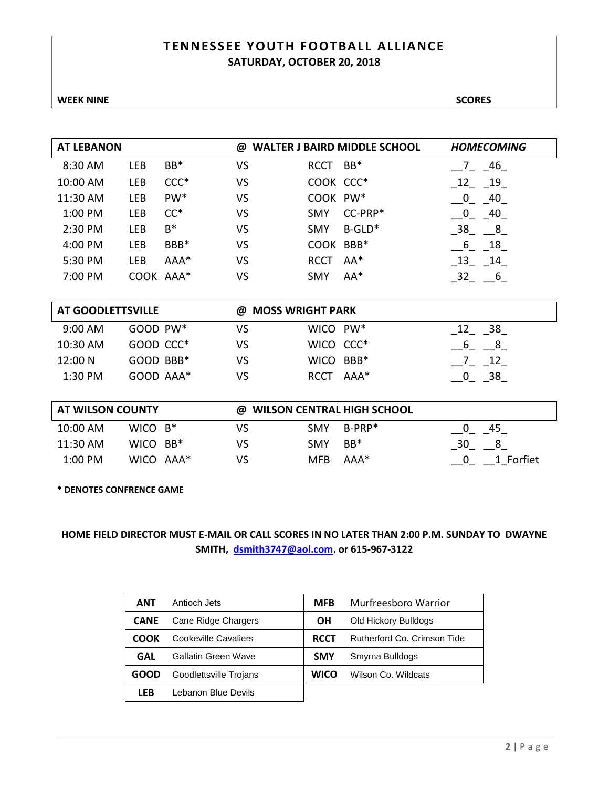### **TENNESSEE YOUTH F OOTBALL ALLIANCE SATURDAY, OCTOBER 20, 2018**

**WEEK NINE** SCORES

| <b>AT LEBANON</b> |           |                              | @  |             | <b>WALTER J BAIRD MIDDLE SCHOOL</b> | <b>HOMECOMING</b>    |
|-------------------|-----------|------------------------------|----|-------------|-------------------------------------|----------------------|
| 8:30 AM           | LEB       | BB*                          | VS | <b>RCCT</b> | $BB*$                               | 46                   |
| 10:00 AM          | LEB       | $CCC*$                       | VS | COOK CCC*   |                                     | 12<br>19             |
| 11:30 AM          | LEB       | PW <sup>*</sup>              | VS | COOK PW*    |                                     | - 40<br>0            |
| 1:00 PM           | LEB       | $CC^*$                       | VS | <b>SMY</b>  | CC-PRP*                             | 40<br>0              |
| 2:30 PM           | LEB       | $B^*$                        | VS | <b>SMY</b>  | $B-GLD*$                            | 38<br>8 <sup>8</sup> |
| 4:00 PM           | LEB       | BBB*                         | VS | COOK BBB*   |                                     | 6<br>18              |
| 5:30 PM           | LEB       | $AAA*$                       | VS | <b>RCCT</b> | $AA^*$                              | 13<br>14             |
| 7:00 PM           | COOK AAA* |                              | VS | <b>SMY</b>  | $AA^*$                              | 32 6                 |
|                   |           |                              |    |             |                                     |                      |
| AT GOODLETTSVILLE |           | <b>MOSS WRIGHT PARK</b><br>@ |    |             |                                     |                      |

| $9:00$ AM  | $GOOD$ PW $*$ | VS  | WICO PW <sup>*</sup> | 38   |
|------------|---------------|-----|----------------------|------|
| $10:30$ AM | $GOOD$ $CCC*$ | VS  | WICO CCC*            |      |
| 12:00 N    | $GOOD$ BBB*   | VS. | WICO BBB*            | - 12 |
| $1:30$ PM  | GOOD AAA*     | VS  | RCCT AAA*            | 38   |

| AT WILSON COUNTY<br>@ WILSON CENTRAL HIGH SCHOOL |             |  |    |            |        |           |
|--------------------------------------------------|-------------|--|----|------------|--------|-----------|
| 10:00 AM                                         | WICO $B^*$  |  | VS | <b>SMY</b> | B-PRP* | -45       |
| 11:30 AM                                         | WICO $BB^*$ |  | VS | <b>SMY</b> | $BB*$  | 30<br>8   |
| 1:00 PM                                          | WICO AAA*   |  | VS | MFB.       | AAA*   | 1 Forfiet |

**\* DENOTES CONFRENCE GAME**

| ANT         | Antioch Jets           | <b>MFB</b>  | Murfreesboro Warrior        |
|-------------|------------------------|-------------|-----------------------------|
| <b>CANE</b> | Cane Ridge Chargers    | OН          | Old Hickory Bulldogs        |
| COOK        | Cookeville Cavaliers   | <b>RCCT</b> | Rutherford Co. Crimson Tide |
| GAL         | Gallatin Green Wave    | <b>SMY</b>  | Smyrna Bulldogs             |
| GOOD        | Goodlettsville Trojans | WICO        | Wilson Co. Wildcats         |
| LFB         | Lebanon Blue Devils    |             |                             |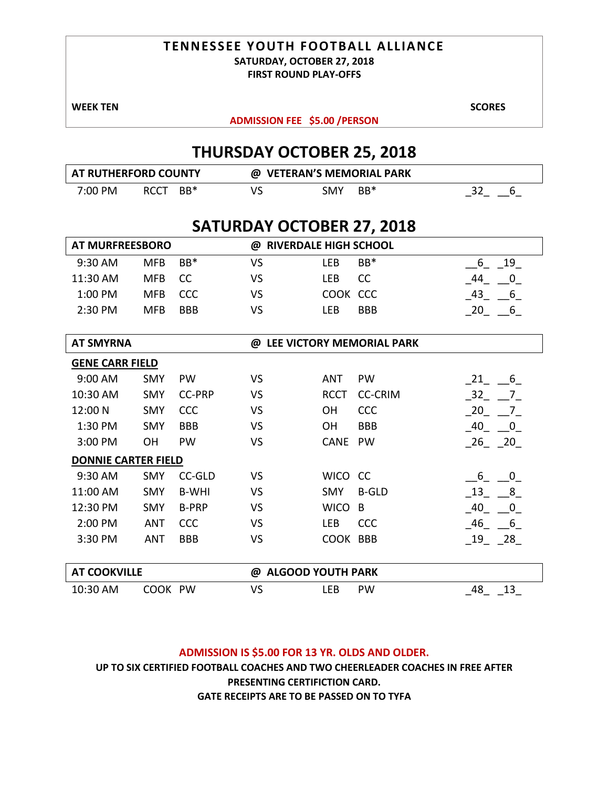## **TENNESSEE YOUTH FOOTBALL ALLIANCE SATURDAY, OCTOBER 27, 2018**

**FIRST ROUND PLAY-OFFS**

**WEEK TEN** SCORES

**ADMISSION FEE \$5.00 /PERSON** 

# **THURSDAY OCTOBER 25, 2018**

| <b>AT RUTHERFORD COUNTY</b> |             |     | @ VETERAN'S MEMORIAL PARK |     |       |  |
|-----------------------------|-------------|-----|---------------------------|-----|-------|--|
| 7:00 PM                     | <b>RCCT</b> | BB* | vs                        | SMY | $BB*$ |  |

# **SATURDAY OCTOBER 27, 2018**

| <b>AT MURFREESBORO</b>     |            |               | <b>RIVERDALE HIGH SCHOOL</b><br>@ |             |                             |                                 |
|----------------------------|------------|---------------|-----------------------------------|-------------|-----------------------------|---------------------------------|
| 9:30 AM                    | MFB        | $BB*$         | <b>VS</b>                         | <b>LEB</b>  | BB*                         | $6 - 19$                        |
| 11:30 AM                   | <b>MFB</b> | cc            | VS                                | LEB         | CC                          | 44<br>$\overline{\phantom{0}0}$ |
| 1:00 PM                    | <b>MFB</b> | CCC           | <b>VS</b>                         | COOK CCC    |                             | $-43 - 6$                       |
| 2:30 PM                    | <b>MFB</b> | <b>BBB</b>    | VS                                | <b>LEB</b>  | <b>BBB</b>                  | $\_20$ $\_6$                    |
|                            |            |               |                                   |             |                             |                                 |
| <b>AT SMYRNA</b>           |            |               |                                   |             | @ LEE VICTORY MEMORIAL PARK |                                 |
| <b>GENE CARR FIELD</b>     |            |               |                                   |             |                             |                                 |
| 9:00 AM                    | <b>SMY</b> | PW            | VS                                | <b>ANT</b>  | PW                          | $21 - 6$                        |
| 10:30 AM                   | <b>SMY</b> | <b>CC-PRP</b> | <b>VS</b>                         | <b>RCCT</b> | <b>CC-CRIM</b>              | $-32 - 7$                       |
| 12:00 N                    | <b>SMY</b> | CCC           | <b>VS</b>                         | <b>OH</b>   | CCC                         | 20 7                            |
| 1:30 PM                    | <b>SMY</b> | <b>BBB</b>    | VS                                | OH          | <b>BBB</b>                  | $-40$ $-0$                      |
| 3:00 PM                    | ΟH         | <b>PW</b>     | VS                                | CANE        | PW                          | $26 - 20$                       |
| <b>DONNIE CARTER FIELD</b> |            |               |                                   |             |                             |                                 |
| 9:30 AM                    | <b>SMY</b> | CC-GLD        | VS                                | WICO CC     |                             | 6<br>$\overline{0}$             |
| 11:00 AM                   | <b>SMY</b> | <b>B-WHI</b>  | VS                                | <b>SMY</b>  | <b>B-GLD</b>                | $-13$ $-8$                      |
| 12:30 PM                   | <b>SMY</b> | <b>B-PRP</b>  | VS                                | <b>WICO</b> | B                           | 40 0                            |
| 2:00 PM                    | <b>ANT</b> | CCC           | <b>VS</b>                         | <b>LEB</b>  | <b>CCC</b>                  | $-46$ $-6$                      |
| 3:30 PM                    | <b>ANT</b> | <b>BBB</b>    | VS                                | COOK BBB    |                             | $-19 - 28$                      |
|                            |            |               |                                   |             |                             |                                 |
| <b>AT COOKVILLE</b>        |            |               | @ ALGOOD YOUTH PARK               |             |                             |                                 |
| 10:30 AM                   | COOK PW    |               | VS                                | LEB         | PW                          | 13<br>48                        |

### **ADMISSION IS \$5.00 FOR 13 YR. OLDS AND OLDER.**

**UP TO SIX CERTIFIED FOOTBALL COACHES AND TWO CHEERLEADER COACHES IN FREE AFTER PRESENTING CERTIFICTION CARD. GATE RECEIPTS ARE TO BE PASSED ON TO TYFA**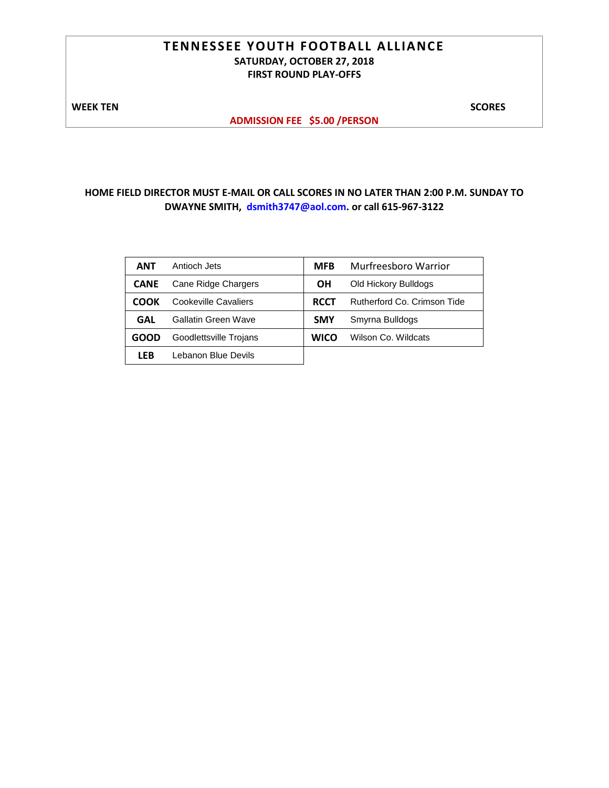### **TENNESSEE YOUTH FOOTBALL ALLIANCE SATURDAY, OCTOBER 27, 2018 FIRST ROUND PLAY-OFFS**

**WEEK TEN** SCORES

**ADMISSION FEE \$5.00 /PERSON** 

| ANT         | Antioch Jets           | <b>MFB</b>  | Murfreesboro Warrior        |
|-------------|------------------------|-------------|-----------------------------|
| <b>CANE</b> | Cane Ridge Chargers    | OН          | Old Hickory Bulldogs        |
| СООК        | Cookeville Cavaliers   | <b>RCCT</b> | Rutherford Co. Crimson Tide |
| GAL         | Gallatin Green Wave    | <b>SMY</b>  | Smyrna Bulldogs             |
| GOOD        | Goodlettsville Trojans | <b>WICO</b> | Wilson Co. Wildcats         |
| <b>LEB</b>  | Lebanon Blue Devils    |             |                             |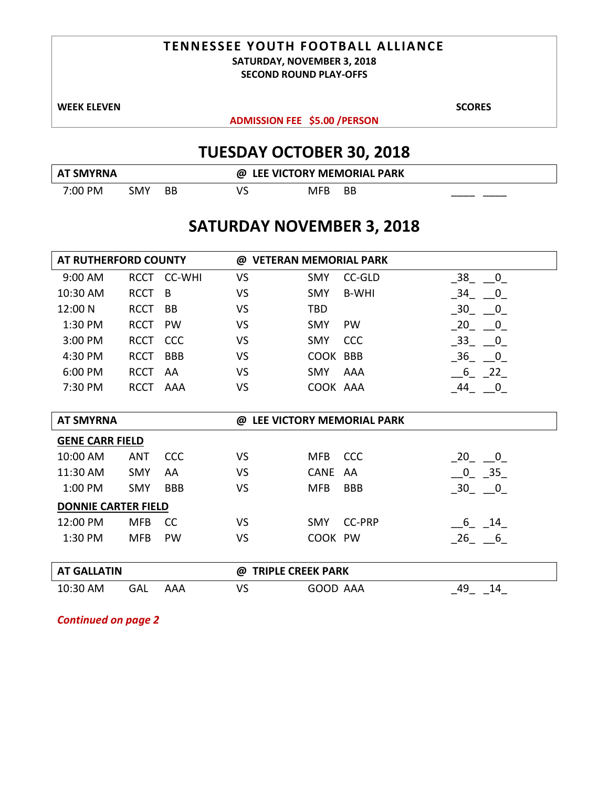# **TENNESSEE YOUTH FOOTBALL ALLIANCE SATURDAY, NOVEMBER 3, 2018**

**SECOND ROUND PLAY-OFFS**

**WEEK ELEVEN** SCORES

**ADMISSION FEE \$5.00 /PERSON** 

# **TUESDAY OCTOBER 30, 2018**

| <b>AT SMYRNA</b> |     | @ LEE VICTORY MEMORIAL PARK |    |     |    |  |
|------------------|-----|-----------------------------|----|-----|----|--|
| 7:00 PM          | SMY | BB.                         | VS | MFB | BB |  |

# **SATURDAY NOVEMBER 3, 2018**

| AT RUTHERFORD COUNTY       |             |               | @ VETERAN MEMORIAL PARK       |             |               |                                              |  |
|----------------------------|-------------|---------------|-------------------------------|-------------|---------------|----------------------------------------------|--|
| 9:00 AM                    | RCCT        | <b>CC-WHI</b> | <b>VS</b>                     | <b>SMY</b>  | <b>CC-GLD</b> | $\overline{0}$<br>38                         |  |
| 10:30 AM                   | <b>RCCT</b> | B             | <b>VS</b>                     | <b>SMY</b>  | <b>B-WHI</b>  | 34 0                                         |  |
| 12:00 N                    | <b>RCCT</b> | BB            | <b>VS</b>                     | TBD         |               | 30 0                                         |  |
| 1:30 PM                    | <b>RCCT</b> | <b>PW</b>     | <b>VS</b>                     | <b>SMY</b>  | <b>PW</b>     | 20 0                                         |  |
| 3:00 PM                    | <b>RCCT</b> | CCC           | <b>VS</b>                     | <b>SMY</b>  | <b>CCC</b>    | $-33 - 0$                                    |  |
| 4:30 PM                    | <b>RCCT</b> | <b>BBB</b>    | <b>VS</b>                     | COOK BBB    |               | 36 0                                         |  |
| 6:00 PM                    | <b>RCCT</b> | AA            | <b>VS</b>                     | <b>SMY</b>  | AAA           | $-6 - 22$                                    |  |
| 7:30 PM                    | <b>RCCT</b> | AAA           | <b>VS</b>                     | COOK AAA    |               | $-44$ $-0$                                   |  |
|                            |             |               |                               |             |               |                                              |  |
| <b>AT SMYRNA</b>           |             |               | @ LEE VICTORY MEMORIAL PARK   |             |               |                                              |  |
| <b>GENE CARR FIELD</b>     |             |               |                               |             |               |                                              |  |
| 10:00 AM                   | <b>ANT</b>  | CCC           | VS                            | <b>MFB</b>  | <b>CCC</b>    | $\begin{array}{cc} 20 & \quad 0 \end{array}$ |  |
| 11:30 AM                   | <b>SMY</b>  | AA            | <b>VS</b>                     | <b>CANE</b> | AA            | $0\qquad 35$                                 |  |
| 1:00 PM                    | <b>SMY</b>  | <b>BBB</b>    | VS                            | <b>MFB</b>  | <b>BBB</b>    | $-30 - 0$                                    |  |
| <b>DONNIE CARTER FIELD</b> |             |               |                               |             |               |                                              |  |
| 12:00 PM                   | <b>MFB</b>  | <sub>CC</sub> | <b>VS</b>                     | <b>SMY</b>  | <b>CC-PRP</b> | 6 14                                         |  |
| 1:30 PM                    | <b>MFB</b>  | <b>PW</b>     | <b>VS</b>                     | COOK PW     |               | 26 6                                         |  |
|                            |             |               |                               |             |               |                                              |  |
| <b>AT GALLATIN</b>         |             |               | <b>TRIPLE CREEK PARK</b><br>@ |             |               |                                              |  |
| 10:30 AM                   | GAL         | <b>AAA</b>    | VS                            | GOOD AAA    |               | 49 14                                        |  |

*Continued on page 2*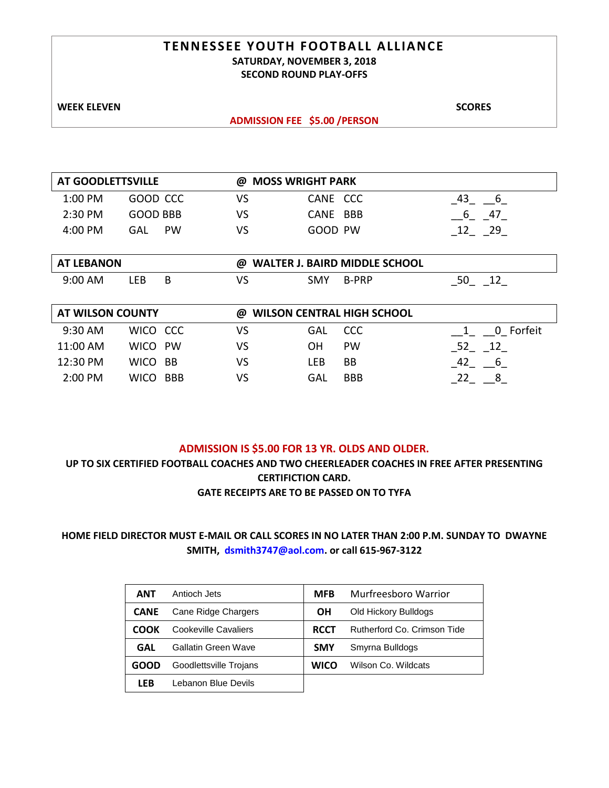### **TENNESSEE YOUTH FOOTBALL ALLIANCE SATURDAY, NOVEMBER 3, 2018 SECOND ROUND PLAY-OFFS**

**WEEK ELEVEN** SCORES

### **ADMISSION FEE \$5.00 /PERSON**

| AT GOODLETTSVILLE |           |    | @ MOSS WRIGHT PARK |    |  |  |  |  |
|-------------------|-----------|----|--------------------|----|--|--|--|--|
| $1:00$ PM         | GOOD CCC  | VS | CANE CCC           |    |  |  |  |  |
| $2:30$ PM         | GOOD BBB  | VS | CANE BBB           | 47 |  |  |  |  |
| 4:00 PM           | PW<br>GAL | VS | GOOD PW            | 29 |  |  |  |  |

| <b>AT LEBANON</b> |     |  | <b>WALTER J. BAIRD MIDDLE SCHOOL</b><br>@ |     |              |  |  |
|-------------------|-----|--|-------------------------------------------|-----|--------------|--|--|
| $9:00$ AM         | .EB |  | VS                                        | SMY | <b>B-PRP</b> |  |  |

| <b>AT WILSON COUNTY</b> |             |            | @  | <b>WILSON CENTRAL HIGH SCHOOL</b> |            |              |
|-------------------------|-------------|------------|----|-----------------------------------|------------|--------------|
| $9:30$ AM               | WICO CCC    |            | VS | GAL                               | CCC.       | Forfeit<br>0 |
| 11:00 AM                | WICO PW     |            | VS | OΗ                                | <b>PW</b>  | 52           |
| 12:30 PM                | WICO BB     |            | VS | LFB                               | <b>BB</b>  |              |
| $2:00 \, \text{PM}$     | <b>WICO</b> | <b>BBB</b> | VS | GAL                               | <b>BBB</b> |              |

### **ADMISSION IS \$5.00 FOR 13 YR. OLDS AND OLDER.**

**UP TO SIX CERTIFIED FOOTBALL COACHES AND TWO CHEERLEADER COACHES IN FREE AFTER PRESENTING CERTIFICTION CARD.** 

**GATE RECEIPTS ARE TO BE PASSED ON TO TYFA**

| ANT         | Antioch Jets           | <b>MFB</b>  | Murfreesboro Warrior        |
|-------------|------------------------|-------------|-----------------------------|
| <b>CANE</b> | Cane Ridge Chargers    | ΟH          | Old Hickory Bulldogs        |
| COOK        | Cookeville Cavaliers   | <b>RCCT</b> | Rutherford Co. Crimson Tide |
| GAL         | Gallatin Green Wave    | <b>SMY</b>  | Smyrna Bulldogs             |
| <b>GOOD</b> | Goodlettsville Trojans | <b>WICO</b> | Wilson Co. Wildcats         |
| LFB         | Lebanon Blue Devils    |             |                             |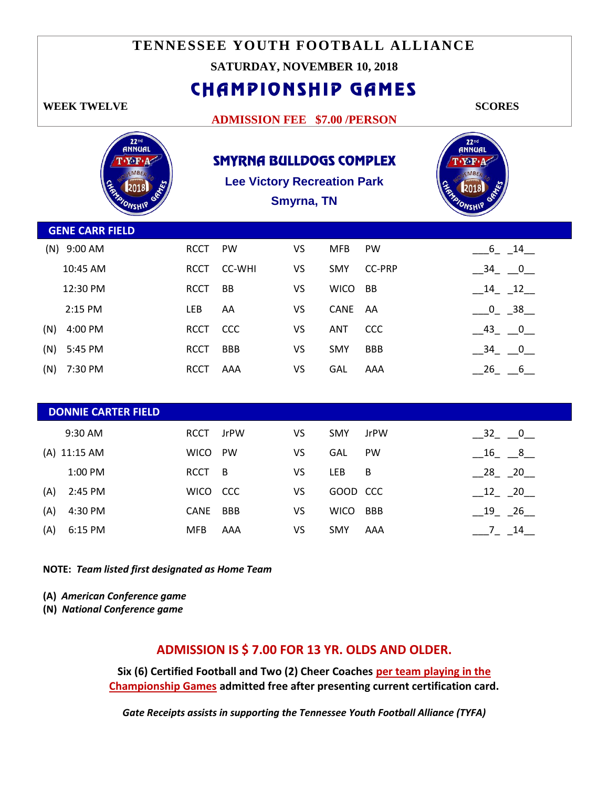# **TENNESSEE YOUTH FOOTBALL ALLIANCE**

### **SATURDAY, NOVEMBER 10, 2018**

CHAMPIONSHIP GAMES

### **WEEK TWELVE SCORES**

 $\sqrt{2}$ 

### **ADMISSION FEE \$7.00 /PERSON**

 $\overline{\phantom{0}}$ 

| 22 <sup>nd</sup><br><b>ANNUAL</b><br>$\mathbf{T}\cdot\mathbf{Y}\cdot\mathbf{F}\cdot\mathbf{A}$<br><b>EMBER</b><br><b>CARACTER</b><br>GG | <b>SMYRNA BULLDOGS COMPLEX</b><br><b>Lee Victory Recreation Park</b><br>Smyrna, TN |               |           |             |               | $22nd$ $60nd$<br>T Y F A<br>EMBER<br>FRANCISCO |
|-----------------------------------------------------------------------------------------------------------------------------------------|------------------------------------------------------------------------------------|---------------|-----------|-------------|---------------|------------------------------------------------|
| <b>GENE CARR FIELD</b>                                                                                                                  |                                                                                    |               |           |             |               |                                                |
| (N) 9:00 AM                                                                                                                             | <b>RCCT</b>                                                                        | PW            | VS        | <b>MFB</b>  | PW            | $[6 - 14]$                                     |
| 10:45 AM                                                                                                                                | <b>RCCT</b>                                                                        | <b>CC-WHI</b> | <b>VS</b> | SMY         | <b>CC-PRP</b> | $-34 - 0$                                      |
| 12:30 PM                                                                                                                                | <b>RCCT</b>                                                                        | <b>BB</b>     | <b>VS</b> | <b>WICO</b> | <b>BB</b>     | $-14 - 12$                                     |
| 2:15 PM                                                                                                                                 | LEB                                                                                | AA            | VS        | CANE        | AA            | $0 - 38$                                       |
| 4:00 PM<br>(N)                                                                                                                          | <b>RCCT</b>                                                                        | CCC           | VS        | <b>ANT</b>  | CCC           | $-43$ $-0$ $-$                                 |
| (N)<br>5:45 PM                                                                                                                          | <b>RCCT</b>                                                                        | <b>BBB</b>    | VS        | SMY         | <b>BBB</b>    | $-34$ $0$                                      |
| (N)<br>7:30 PM                                                                                                                          | <b>RCCT</b>                                                                        | AAA           | VS        | GAL         | AAA           | $26 \quad 6$                                   |
|                                                                                                                                         |                                                                                    |               |           |             |               |                                                |
| <b>DONNIE CARTER FIELD</b>                                                                                                              |                                                                                    |               |           |             |               |                                                |
| 9:30 AM                                                                                                                                 | <b>RCCT</b>                                                                        | <b>JrPW</b>   | VS        | <b>SMY</b>  | <b>JrPW</b>   | $-32$ $0$                                      |
| (A) 11:15 AM                                                                                                                            | <b>WICO</b>                                                                        | PW            | VS        | GAL         | PW            | $16 - 8$                                       |
| 1:00 PM                                                                                                                                 | <b>RCCT</b>                                                                        | B             | VS        | LEB         | B             | $-$ 28 <sub>-</sub> $-$ 20                     |
| 2:45 PM<br>(A)                                                                                                                          | <b>WICO</b>                                                                        | CCC           | VS        | GOOD        | <b>CCC</b>    | $12 - 20$                                      |
| (A)<br>4:30 PM                                                                                                                          | <b>CANE</b>                                                                        | <b>BBB</b>    | VS        | <b>WICO</b> | <b>BBB</b>    | $-19 - 26$                                     |
| 6:15 PM<br>(A)                                                                                                                          | <b>MFB</b>                                                                         | AAA           | VS        | SMY         | AAA           | $-7$ $-14$ $-$                                 |
|                                                                                                                                         |                                                                                    |               |           |             |               |                                                |

**NOTE:** *Team listed first designated as Home Team*

- **(A)** *American Conference game*
- **(N)** *National Conference game*

### **ADMISSION IS \$ 7.00 FOR 13 YR. OLDS AND OLDER.**

**Six (6) Certified Football and Two (2) Cheer Coaches per team playing in the Championship Games admitted free after presenting current certification card.**

*Gate Receipts assists in supporting the Tennessee Youth Football Alliance (TYFA)*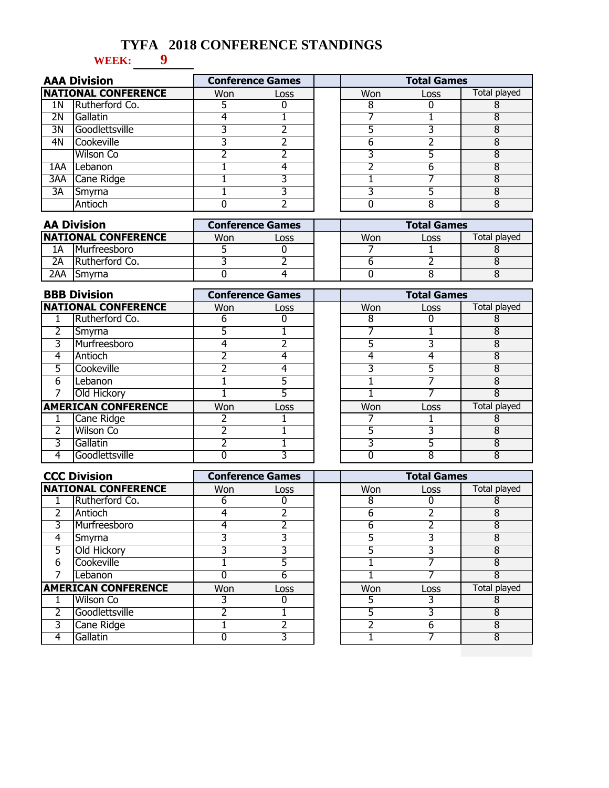# **TYFA 2018 CONFERENCE STANDINGS**

### **9 WEEK:**

|     | <b>AAA Division</b>        |     | <b>Conference Games</b> | <b>Total Games</b> |      |              |
|-----|----------------------------|-----|-------------------------|--------------------|------|--------------|
|     | <b>NATIONAL CONFERENCE</b> | Won | Loss                    | Won                | Loss | Total played |
| 1Ν  | Rutherford Co.             |     |                         |                    |      |              |
| 2Ν  | Gallatin                   |     |                         |                    |      |              |
| 3N  | Goodlettsville             |     |                         |                    |      |              |
| 4N  | Cookeville                 |     |                         | h                  |      |              |
|     | <b>Wilson Co</b>           |     |                         |                    |      |              |
| 1AA | Lebanon                    |     |                         |                    |      |              |
| 3AA | Cane Ridge                 |     |                         |                    |      |              |
| 3A  | Smyrna                     |     |                         |                    |      |              |
|     | Antioch                    |     |                         |                    |      |              |

| <b>AA Division</b>          |                        |     | <b>Conference Games</b> | <b>Total Games</b> |       |              |  |
|-----------------------------|------------------------|-----|-------------------------|--------------------|-------|--------------|--|
| <b>INATIONAL CONFERENCE</b> |                        | Won | Loss                    | Won                | LOSS. | Total played |  |
| 1А                          | <b>Murfreesboro</b>    |     |                         |                    |       |              |  |
| 2Α                          | <b>IRutherford Co.</b> |     |                         |                    |       |              |  |
| 2AA                         | 'Smvrna                |     |                         |                    |       |              |  |

|   | <b>BBB Division</b>        |            | <b>Conference Games</b> | <b>Total Games</b> |      |              |
|---|----------------------------|------------|-------------------------|--------------------|------|--------------|
|   | <b>NATIONAL CONFERENCE</b> | <b>Won</b> | Loss                    | <b>Won</b>         | Loss | Total played |
|   | Rutherford Co.             | h          |                         | 8                  |      |              |
| 2 | Smyrna                     |            |                         |                    |      | 8            |
| 3 | Murfreesboro               |            |                         |                    |      | 8            |
| 4 | Antioch                    |            |                         |                    |      | 8            |
| 5 | Cookeville                 |            |                         |                    |      | 8            |
| 6 | Lebanon                    |            |                         |                    |      | 8            |
|   | Old Hickory                |            |                         |                    |      | 8            |
|   | <b>AMERICAN CONFERENCE</b> | Won        | Loss                    | Won                | Loss | Total played |
|   | Cane Ridge                 |            |                         |                    |      | 8            |
| 2 | <b>Wilson Co</b>           |            |                         |                    |      | 8            |
| 3 | Gallatin                   |            |                         |                    |      | 8            |
| 4 | Goodlettsville             |            |                         |                    | 8    | 8            |

|   | <b>CCC Division</b>        |            | <b>Conference Games</b> | <b>Total Games</b> |      |              |
|---|----------------------------|------------|-------------------------|--------------------|------|--------------|
|   | <b>NATIONAL CONFERENCE</b> | <b>Won</b> | Loss                    | Won                | Loss | Total played |
|   | Rutherford Co.             | 6          | 0                       | 8                  | 0    | 8            |
| 2 | Antioch                    | 4          |                         | 6                  |      | 8            |
| 3 | Murfreesboro               | 4          |                         | 6                  |      | 8            |
| 4 | Smyrna                     | 3          | 3                       | 5                  | 3    | 8            |
| 5 | Old Hickory                | 3          | 3                       | 5                  | 3    | 8            |
| 6 | Cookeville                 |            | 5                       |                    |      | 8            |
|   | Lebanon                    | 0          | 6                       |                    |      | 8            |
|   | <b>AMERICAN CONFERENCE</b> | Won        | Loss                    | Won                | Loss | Total played |
|   | Wilson Co                  |            |                         | 5                  |      | 8            |
|   | Goodlettsville             | ำ          |                         | 5                  | 3    | 8            |
| 3 | Cane Ridge                 |            |                         | า                  | 6    | 8            |
| 4 | Gallatin                   | 0          | 3                       |                    |      | 8            |
|   |                            |            |                         |                    |      |              |